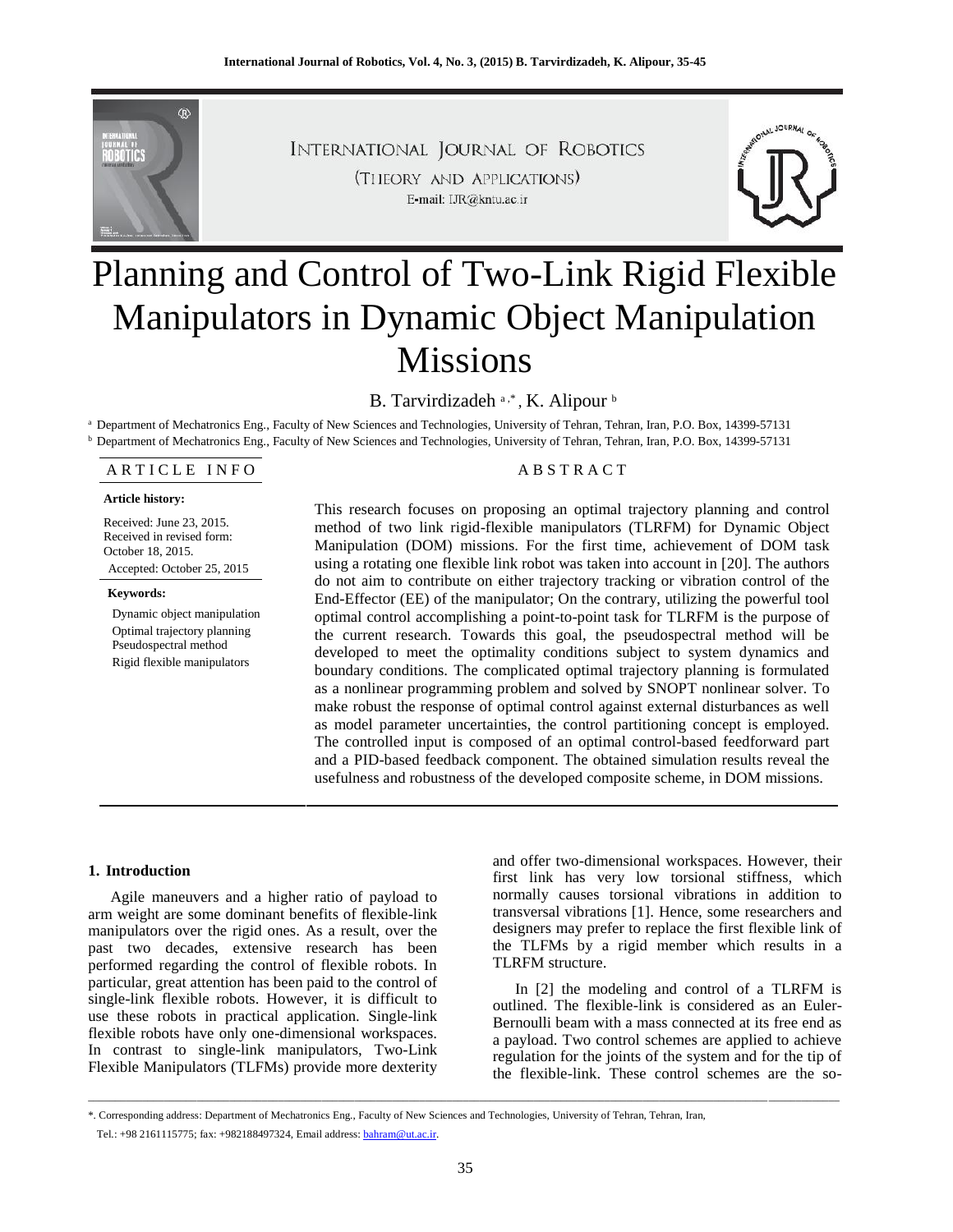

INTERNATIONAL JOURNAL OF ROBOTICS (THEORY AND APPLICATIONS) E-mail: IJR@kntu.ac.ir



# Planning and Control of Two-Link Rigid Flexible Manipulators in Dynamic Object Manipulation Missions

B. Tarvirdizadeh a,\*, K. Alipour b

<sup>a</sup> Department of Mechatronics Eng., Faculty of New Sciences and Technologies, University of Tehran, Tehran, Iran, P.O. Box, 14399-57131 <sup>b</sup> Department of Mechatronics Eng., Faculty of New Sciences and Technologies, University of Tehran, Tehran, Iran, P.O. Box, 14399-57131

A R T I C L E IN FO
A B S T R A C T

#### **Article history:**

Received: June 23, 2015. Received in revised form: October 18, 2015. Accepted: October 25, 2015

**Keywords:** Dynamic object manipulation Optimal trajectory planning Pseudospectral method

Rigid flexible manipulators

This research focuses on proposing an optimal trajectory planning and control method of two link rigid-flexible manipulators (TLRFM) for Dynamic Object Manipulation (DOM) missions. For the first time, achievement of DOM task using a rotating one flexible link robot was taken into account in [20]. The authors do not aim to contribute on either trajectory tracking or vibration control of the End-Effector (EE) of the manipulator; On the contrary, utilizing the powerful tool optimal control accomplishing a point-to-point task for TLRFM is the purpose of the current research. Towards this goal, the pseudospectral method will be developed to meet the optimality conditions subject to system dynamics and boundary conditions. The complicated optimal trajectory planning is formulated as a nonlinear programming problem and solved by SNOPT nonlinear solver. To make robust the response of optimal control against external disturbances as well as model parameter uncertainties, the control partitioning concept is employed. The controlled input is composed of an optimal control-based feedforward part and a PID-based feedback component. The obtained simulation results reveal the usefulness and robustness of the developed composite scheme, in DOM missions.

## **1. Introduction**

Agile maneuvers and a higher ratio of payload to arm weight are some dominant benefits of flexible-link manipulators over the rigid ones. As a result, over the past two decades, extensive research has been performed regarding the control of flexible robots. In particular, great attention has been paid to the control of single-link flexible robots. However, it is difficult to use these robots in practical application. Single-link flexible robots have only one-dimensional workspaces. In contrast to single-link manipulators, Two-Link Flexible Manipulators (TLFMs) provide more dexterity

and offer two-dimensional workspaces. However, their first link has very low torsional stiffness, which normally causes torsional vibrations in addition to transversal vibrations [1]. Hence, some researchers and designers may prefer to replace the first flexible link of the TLFMs by a rigid member which results in a TLRFM structure.

In [2] the modeling and control of a TLRFM is outlined. The flexible-link is considered as an Euler- Bernoulli beam with a mass connected at its free end as a payload. Two control schemes are applied to achieve regulation for the joints of the system and for the tip of the flexible-link. These control schemes are the so-

\_\_\_\_\_\_\_\_\_\_\_\_\_\_\_\_\_\_\_\_\_\_\_\_\_\_\_\_\_\_\_\_\_\_\_\_\_\_\_\_\_\_\_\_\_\_\_\_\_\_\_\_\_\_\_\_\_\_\_\_\_\_\_\_\_\_\_\_\_\_\_\_\_\_\_\_\_\_\_\_\_\_\_\_\_\_\_\_\_\_\_\_\_\_\_\_\_\_\_\_\_\_\_\_\_\_\_\_\_\_\_\_\_\_\_\_\_\_\_\_\_\_\_\_\_\_\_\_\_\_\_\_\_\_\_\_\_\_

<sup>\*.</sup> Corresponding address: Department of Mechatronics Eng., Faculty of New Sciences and Technologies, University of Tehran, Tehran, Iran,

Tel.: +98 2161115775; fax: +982188497324, Email address: bahram@ut.ac.ir.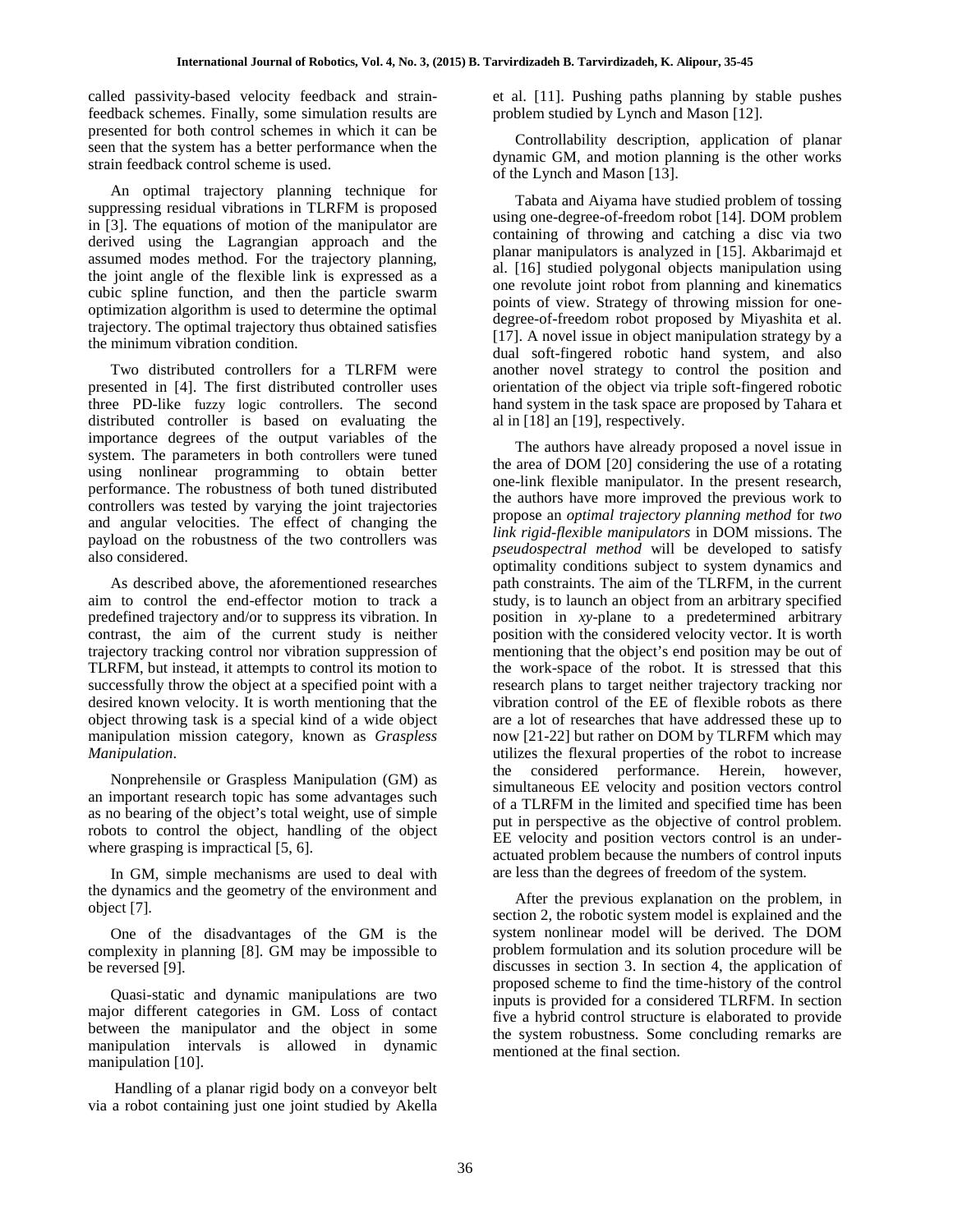called passivity-based velocity feedback and strainfeedback schemes. Finally, some simulation results are presented for both control schemes in which it can be seen that the system has a better performance when the strain feedback control scheme is used.

An optimal trajectory planning technique for suppressing residual vibrations in TLRFM is proposed in [3]. The equations of motion of the manipulator are derived using the Lagrangian approach and the assumed modes method. For the trajectory planning, the joint angle of the flexible link is expressed as a cubic spline function, and then the particle swarm optimization algorithm is used to determine the optimal trajectory. The optimal trajectory thus obtained satisfies the minimum vibration condition.

Two distributed controllers for a TLRFM were presented in [4]. The first distributed controller uses three PD-like fuzzy logic controllers. The second distributed controller is based on evaluating the importance degrees of the output variables of the system. The parameters in both controllers were tuned using nonlinear programming to obtain better performance. The robustness of both tuned distributed controllers was tested by varying the joint trajectories and angular velocities. The effect of changing the payload on the robustness of the two controllers was also considered.

As described above, the aforementioned researches aim to control the end-effector motion to track a predefined trajectory and/or to suppress its vibration. In contrast, the aim of the current study is neither trajectory tracking control nor vibration suppression of TLRFM, but instead, it attempts to control its motion to successfully throw the object at a specified point with a desired known velocity. It is worth mentioning that the object throwing task is a special kind of a wide object manipulation mission category, known as *Graspless Manipulation*.

Nonprehensile or Graspless Manipulation (GM) as an important research topic has some advantages such as no bearing of the object's total weight, use of simple robots to control the object, handling of the object where grasping is impractical [5, 6].

In GM, simple mechanisms are used to deal with the dynamics and the geometry of the environment and object [7].

One of the disadvantages of the GM is the complexity in planning [8]. GM may be impossible to be reversed [9].

Quasi-static and dynamic manipulations are two major different categories in GM. Loss of contact between the manipulator and the object in some manipulation intervals is allowed in dynamic manipulation [10].

Handling of a planar rigid body on a conveyor belt via a robot containing just one joint studied by Akella et al. [11]. Pushing paths planning by stable pushes problem studied by Lynch and Mason [12].

Controllability description, application of planar dynamic GM, and motion planning is the other works of the Lynch and Mason [13].

Tabata and Aiyama have studied problem of tossing using one-degree-of-freedom robot [14]. DOM problem containing of throwing and catching a disc via two planar manipulators is analyzed in [15]. Akbarimajd et al. [16] studied polygonal objects manipulation using one revolute joint robot from planning and kinematics points of view. Strategy of throwing mission for one degree-of-freedom robot proposed by Miyashita et al. [17]. A novel issue in object manipulation strategy by a dual soft-fingered robotic hand system, and also another novel strategy to control the position and orientation of the object via triple soft-fingered robotic hand system in the task space are proposed by Tahara et al in [18] an [19], respectively.

The authors have already proposed a novel issue in the area of DOM [20] considering the use of a rotating one-link flexible manipulator. In the present research, the authors have more improved the previous work to propose an *optimal trajectory planning method* for *two link rigid-flexible manipulators* in DOM missions. The *pseudospectral method* will be developed to satisfy optimality conditions subject to system dynamics and path constraints. The aim of the TLRFM, in the current study, is to launch an object from an arbitrary specified position in *xy*-plane to a predetermined arbitrary position with the considered velocity vector. It is worth mentioning that the object's end position may be out of the work-space of the robot. It is stressed that this research plans to target neither trajectory tracking nor vibration control of the EE of flexible robots as there are a lot of researches that have addressed these up to now [21-22] but rather on DOM by TLRFM which may utilizes the flexural properties of the robot to increase the considered performance. Herein, however, simultaneous EE velocity and position vectors control of a TLRFM in the limited and specified time has been put in perspective as the objective of control problem. EE velocity and position vectors control is an under actuated problem because the numbers of control inputs are less than the degrees of freedom of the system.

After the previous explanation on the problem, in section 2, the robotic system model is explained and the system nonlinear model will be derived. The DOM problem formulation and its solution procedure will be discusses in section 3. In section 4, the application of proposed scheme to find the time-history of the control inputs is provided for a considered TLRFM. In section five a hybrid control structure is elaborated to provide the system robustness. Some concluding remarks are mentioned at the final section.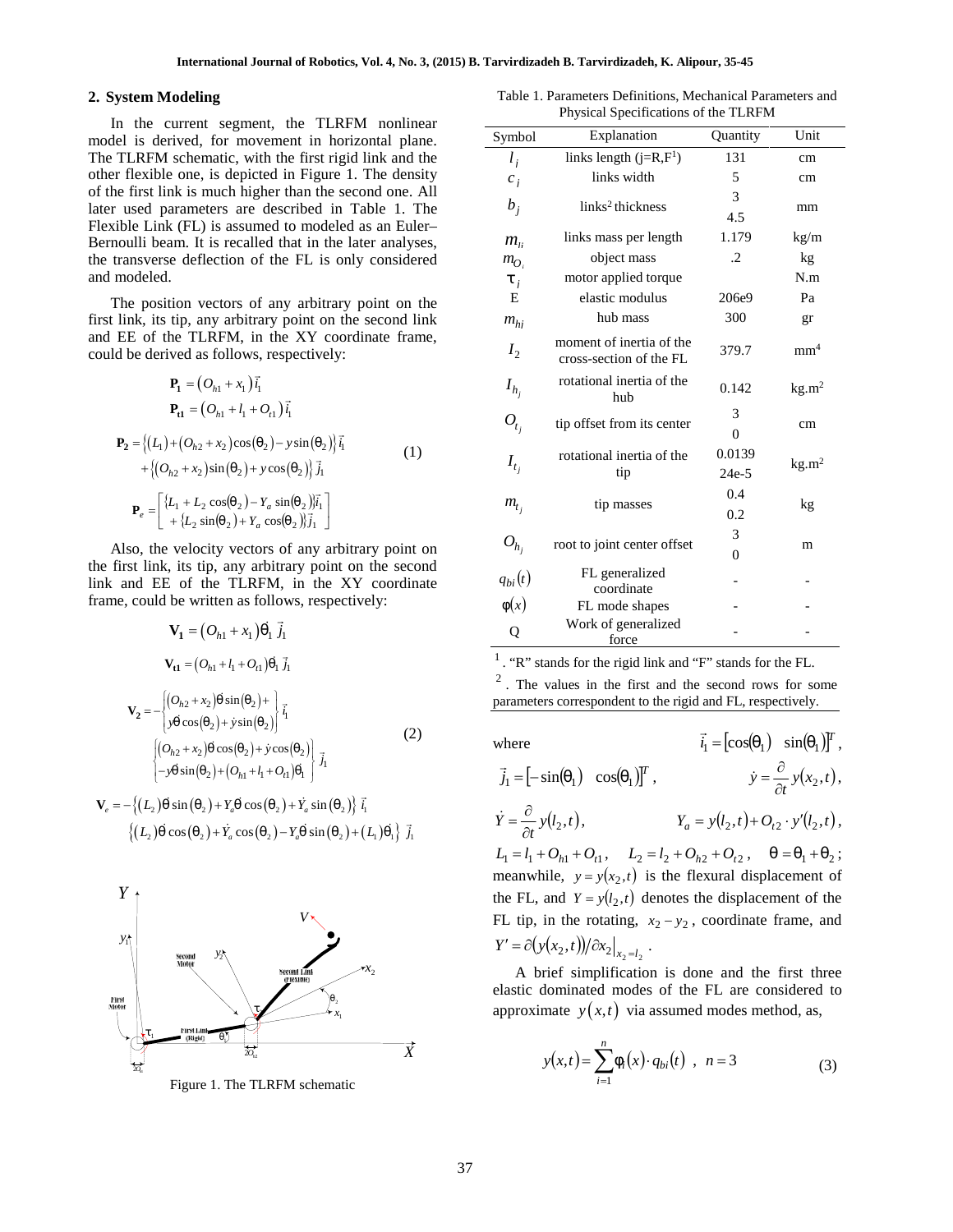#### **2. System Modeling**

 1 1 1 1 *h* **1 t1 <sup>P</sup> P** 1 2 2 2 1 2 *h* 2 2 2 1 1 2 2 2 1 sin cos cos sin *L Y j L L Y i a a <sup>e</sup>* **<sup>P</sup>** (1)

exible Link (FL) is assumed to modeled as an Euler--  
moulli beam. It is recalled that in the later analyses, transverse deflection of the FL is only considered  
\n
$$
m_0
$$
, object is  
\ntransverse deflection of the FL is only considered  
\n $m_0$ , object is  
\n $m_0$ , object is  

$$
V_e = -\{(L_2)_n \sin(\frac{n}{2}) + Y_{a^n} \cos(\frac{n}{2}) + Y_a \sin(\frac{n}{2})\} \, \tilde{t}_1
$$
  

$$
\{(L_2)_n \cos(\frac{n}{2}) + Y_a \cos(\frac{n}{2}) - Y_{a^n} \sin(\frac{n}{2}) + (L_1)_{n_1}\} \, \tilde{t}_1
$$



Figure 1. The TLRFM schematic

Table 1. Parameters Definitions, Mechanical Parameters and Physical Specifications of the TLRFM

| . System Modeling                                                                                                                                                                                                              | Table 1. Parameters Definitions, Mechanical Parameters and<br>Physical Specifications of the TLRFM                                                                                                    |                                                                                                                                               |                                                           |                   |  |
|--------------------------------------------------------------------------------------------------------------------------------------------------------------------------------------------------------------------------------|-------------------------------------------------------------------------------------------------------------------------------------------------------------------------------------------------------|-----------------------------------------------------------------------------------------------------------------------------------------------|-----------------------------------------------------------|-------------------|--|
| In the current segment, the TLRFM nonlinear<br>nodel is derived, for movement in horizontal plane.                                                                                                                             | Symbol                                                                                                                                                                                                | Explanation                                                                                                                                   | Quantity                                                  | Unit              |  |
| he TLRFM schematic, with the first rigid link and the                                                                                                                                                                          | $l_i$                                                                                                                                                                                                 | links length $(j=R,F^1)$                                                                                                                      | 131                                                       | cm                |  |
| ther flexible one, is depicted in Figure 1. The density                                                                                                                                                                        | $c_i$                                                                                                                                                                                                 | links width                                                                                                                                   | 5                                                         | cm                |  |
| f the first link is much higher than the second one. All<br>ater used parameters are described in Table 1. The                                                                                                                 | $b_i$                                                                                                                                                                                                 | links <sup>2</sup> thickness                                                                                                                  | 3<br>4.5                                                  | mm                |  |
| lexible Link (FL) is assumed to modeled as an Euler-<br>ernoulli beam. It is recalled that in the later analyses,                                                                                                              | $m_{ii}$                                                                                                                                                                                              | links mass per length                                                                                                                         | 1.179                                                     | kg/m              |  |
| ne transverse deflection of the FL is only considered                                                                                                                                                                          | $m_{O_i}$                                                                                                                                                                                             | object mass                                                                                                                                   | .2                                                        | kg                |  |
| nd modeled.                                                                                                                                                                                                                    | $\ddagger$ ;                                                                                                                                                                                          | motor applied torque                                                                                                                          |                                                           | N.m               |  |
| The position vectors of any arbitrary point on the                                                                                                                                                                             | E                                                                                                                                                                                                     | elastic modulus                                                                                                                               | 206e9                                                     | Pa                |  |
| rst link, its tip, any arbitrary point on the second link                                                                                                                                                                      | $m_{h}$                                                                                                                                                                                               | hub mass                                                                                                                                      | 300                                                       | gr                |  |
| nd EE of the TLRFM, in the XY coordinate frame,<br>ould be derived as follows, respectively:                                                                                                                                   | I <sub>2</sub>                                                                                                                                                                                        | moment of inertia of the<br>cross-section of the FL                                                                                           | 379.7                                                     | mm <sup>4</sup>   |  |
| ${\bf P}_1 = (O_{h1} + x_1) \vec{i}_1$                                                                                                                                                                                         | $I_{h_i}$                                                                                                                                                                                             | rotational inertia of the<br>hub                                                                                                              | 0.142                                                     | kg.m <sup>2</sup> |  |
| ${\bf P}_{t1} = (O_{h1} + l_1 + O_{t1})\vec{i}_1$                                                                                                                                                                              | $O_{t_i}$                                                                                                                                                                                             | tip offset from its center                                                                                                                    | 3<br>$\mathbf{0}$                                         | cm                |  |
| $\mathbf{P}_2 = \{(L_1) + (O_{h2} + x_2)\cos((n_2) - y\sin((n_2))\}\mathbf{i}_1$<br>(1)<br>+ { $(O_{h2} + x_2)$ sin( $_{n2}$ ) + y cos( $_{n2}$ )} $\vec{j_1}$                                                                 | $I_{t_i}$                                                                                                                                                                                             | rotational inertia of the<br>tip                                                                                                              | 0.0139<br>24e-5                                           | kg.m <sup>2</sup> |  |
| $\mathbf{P}_e = \begin{bmatrix} \{L_1 + L_2 \cos(\theta_2) - Y_a \sin(\theta_2)\}\vec{i}_1\\ + \{L_2 \sin(\theta_2) + Y_a \cos(\theta_2)\}\vec{j}_1 \end{bmatrix}$                                                             | $m_{t_i}$                                                                                                                                                                                             | tip masses                                                                                                                                    | 0.4<br>0.2                                                | kg                |  |
|                                                                                                                                                                                                                                | $O_{h_i}$                                                                                                                                                                                             | root to joint center offset                                                                                                                   | 3                                                         | m                 |  |
| Also, the velocity vectors of any arbitrary point on<br>ne first link, its tip, any arbitrary point on the second                                                                                                              |                                                                                                                                                                                                       |                                                                                                                                               | $\Omega$                                                  |                   |  |
| nk and EE of the TLRFM, in the XY coordinate                                                                                                                                                                                   | $q_{bi}(t)$                                                                                                                                                                                           | FL generalized                                                                                                                                |                                                           |                   |  |
| rame, could be written as follows, respectively:                                                                                                                                                                               | w(x)                                                                                                                                                                                                  | coordinate<br>FL mode shapes                                                                                                                  |                                                           |                   |  |
| $\mathbf{V}_1 = (O_{h1} + x_1)_{n \perp} \vec{j}_1$                                                                                                                                                                            | Q                                                                                                                                                                                                     | Work of generalized<br>force                                                                                                                  |                                                           |                   |  |
| $V_{t1} = (O_{h1} + l_1 + O_{t1})_{n=1}$<br>$\mathbf{V_2} = -\begin{cases} (O_{h2} + x_2)_r \sin{\left(r_2\right)} + \\ y_r \cos{\left(r_2\right)} + y \sin{\left(r_2\right)} \end{cases} \vec{i}_1$                           | $\frac{1}{1}$ . "R" stands for the rigid link and "F" stands for the FL.<br>$2$ . The values in the first and the second rows for some<br>parameters correspondent to the rigid and FL, respectively. |                                                                                                                                               |                                                           |                   |  |
| (2)                                                                                                                                                                                                                            | where                                                                                                                                                                                                 |                                                                                                                                               | $\vec{i}_1 = [\cos(\theta_{n-1}) \sin(\theta_{n-1})]^T$ , |                   |  |
| $\begin{cases} \left(O_{h2}+x_2\right),\; \cos\left({}_s\,2\right)+\dot{y}\cos\left({}_s\,2\right) \\ -y_s\,\sin\left({}_s\,2\right)+\left(O_{h1}+l_1+O_{t1}\right)_{s\,1} \end{cases} \vec{j}_1$                              | $\vec{j}_1 = [-\sin(\theta_{n1}) \cos(\theta_{n1})]^T$ , $\dot{y} = \frac{\partial}{\partial t} y(x_2, t)$ ,                                                                                          |                                                                                                                                               |                                                           |                   |  |
| $\mathbf{V}_e = -\{(L_2)_n \sin(\frac{n_2}{2}) + Y_{a_n} \cos(\frac{n_2}{2}) + Y_a \sin(\frac{n_2}{2})\}\vec{i}_1$<br>$\{(L_n)_n \cos(\frac{n}{2}) + Y_n \cos(\frac{n}{2}) - Y_{n'} \sin(\frac{n}{2}) + (L_1)_{n'}\}\vec{j}_1$ |                                                                                                                                                                                                       | $\dot{Y} = \frac{\partial}{\partial t} y(l_2, t),$ $Y_a = y(l_2, t) + O_{t2} \cdot y'(l_2, t),$                                               |                                                           |                   |  |
|                                                                                                                                                                                                                                |                                                                                                                                                                                                       | $L_1 = l_1 + O_{h1} + O_{t1}$ , $L_2 = l_2 + O_{h2} + O_{t2}$ , $= r_1 + r_2$ ;<br>meanwhile, $y = y(x_2, t)$ is the flexural displacement of |                                                           |                   |  |
| Y                                                                                                                                                                                                                              |                                                                                                                                                                                                       | the FL, and $Y = y(l_2, t)$ denotes the displacement of the                                                                                   |                                                           |                   |  |
|                                                                                                                                                                                                                                |                                                                                                                                                                                                       |                                                                                                                                               |                                                           |                   |  |
| $y_1$                                                                                                                                                                                                                          | FL tip, in the rotating, $x_2 - y_2$ , coordinate frame, and                                                                                                                                          |                                                                                                                                               |                                                           |                   |  |
| Second                                                                                                                                                                                                                         |                                                                                                                                                                                                       | $Y' = \partial(y(x_2,t))/\partial x_2\big _{x_2=l_2}.$                                                                                        |                                                           |                   |  |
| <b>Second Link</b><br>(Flexible)                                                                                                                                                                                               |                                                                                                                                                                                                       | A brief simplification is done and the first three<br>elastic dominated modes of the FL are considered to                                     |                                                           |                   |  |

V<sub>1</sub> = (O<sub>h1</sub> + X<sub>1</sub>, -1, 1,  
\nV<sub>2</sub> = -
$$
\left\{ (O_{h2} + X_2), \sin(-2) + \sin(-2) \right\}
$$
  
\nV<sub>2</sub> = - $\left\{ (O_{h2} + X_2), \sin(-2) + \sin(-2) \right\}$   
\n $\left\{ (O_{h2} + X_2), \cos(-2) + y \cos(-2) \right\}$   
\n $\left\{ (O_{h2} + X_2), \cos(-2) + y \cos(-2) \right\}$   
\n $\left\{ (O_{h2} + X_2), \cos(-2) + y \cos(-2) \right\}$   
\n $\left\{ (O_{h1} + I_1 + O_{h1}) - 1 \right\}$   
\n $\left\{ (D_{h1} + I_1 + O_{h1}) - 1 \right\}$   
\n $\left\{ (D_{h2} + X_2), \cos(-2) + y \cos(-2) \right\}$   
\n $\left\{ (L_2), \sin(-2) + Y_a, \cos(-2) + Y_a \sin(-2) \right\}$   
\n $\left\{ (L_2), \sin(-2) + Y_a, \cos(-2) - Y_a, \sin(-2) \right\}$   
\n $\left\{ (L_2), \cos(-2) + Y_a, \cos(-2) - Y_a, \sin(-2) \right\}$   
\n $\left\{ (L_2), \cos(-2) + Y_a, \cos(-2) - Y_a, \sin(-2) \right\}$   
\n $\left\{ (L_2), \cos(-2) + Y_a, \cos(-2) - Y_a, \sin(-2) \right\}$   
\n $\left\{ (L_2), \cos(-2) + Y_a, \cos(-2) - Y_a, \sin(-2) \right\}$   
\n $\left\{ (L_2), \cos(-2) + Y_a, \cos(-2) - Y_a, \sin(-2) \right\}$   
\n $\left\{ (L_2), \cos(-2) + Y_a, \cos(-2) - Y_a, \sin(-2) \right\}$   
\n $\left\{ (L_2), \cos(-2) + Y_a, \cos(-2) - Y_a, \sin(-2) + (L_1)_a) \right\}$   
\n $\left\{ (L_2), \cos(-2) + Y_a$ 

approximate  $y(x,t)$  via assumed modes method, as,  $x_2$  A brief simplification is done and the first three elastic dominated modes of the FL are considered to

$$
\overrightarrow{\sum}_{i=1}^{n} \mathbf{w}_i(x) \cdot q_{bi}(t) , \quad n = 3
$$
\n(3)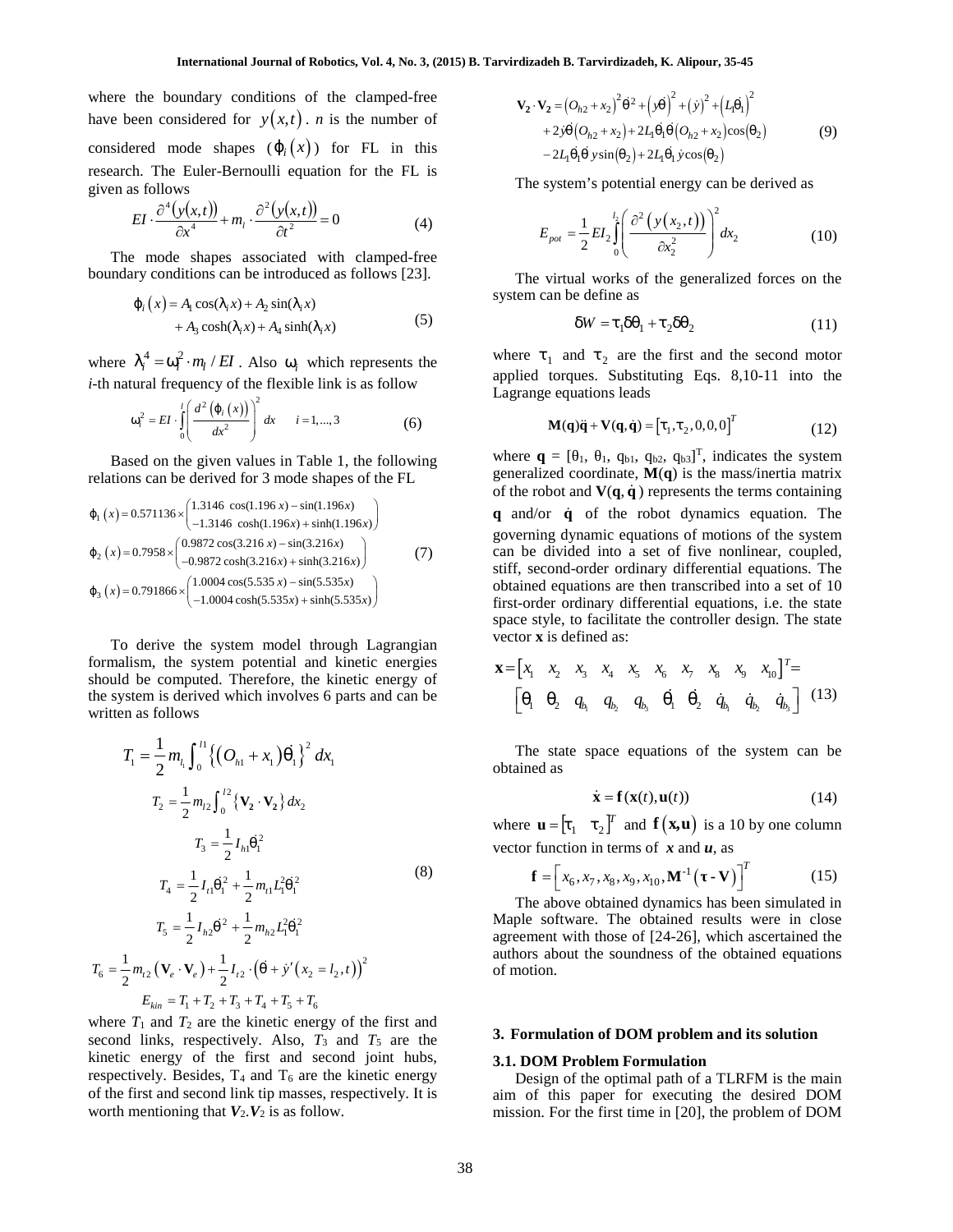where the boundary conditions of the clamped-free **International Journal of Robotics, Vol. 4, No. 3, (2015) <b>B**. Tarviry<br>where the boundary conditions of the clamped-free<br>have been considered for  $y(x,t)$ . *n* is the number of<br>considered mode shapes  $(\{\iota_i(x)\})$  for FL in th considered mode shapes  $(\{i}(x))$  for FL in this research. The Euler-Bernoulli equation for the FL is given as follows International Journal of Robotics, Vol. 4, No. 3, (<br>
e boundary conditions of the clamped-free<br>
1 considered for  $y(x,t)$ . *n* is the number of<br>
d mode shapes  $(\{\iota(x)\})$  for FL in this<br>
The Euler-Bernoulli equation for the F ernational Journal of Robotics, Vol. 4, No. 3, (2015) B<br>
dary conditions of the clamped-free<br>
dered for  $y(x,t)$ . *n* is the number of<br>
e shapes  $(\xi_i(x))$  for FL in this<br>
uler-Bernoulli equation for the FL is<br>  $\frac{(x,t)}{t} + m_t \cdot$ rnational Journal of Robotics, Vol. 4, No. 3, (2015) B. Ta<br>
ary conditions of the clamped-free<br>
ered for  $y(x,t)$ . *n* is the number of<br>
shapes  $(\xi_i(x))$  for FL in this<br>
ler-Bernoulli equation for the FL is<br>  $\frac{t}{dt} + m_t \cdot \frac{\partial$ **International Journal of Robotics, Vol. 4,**<br>
he boundary conditions of the clampe<br>
en considered for  $y(x,t)$ . *n* is the num<br>
ed mode shapes  $(\xi_i(x))$  for FL is<br>
The Euler-Bernoulli equation for the<br>
follows<br>  $I \cdot \frac{\partial^4 (y(x,t$ International Journal of Robotics, Vol. 4, No. 3, (2015) B. Tarvird<br>
boundary conditions of the clamped-free<br>
considered for  $y(x,t)$ . *n* is the number of<br>
I mode shapes  $(\xi_i(x))$  for FL in this<br>
The Euler-Bernoulli equation *A x A x* International Journal of Robotics, Vol. 4, No. 3, (2015) B. Tarvirdizadeh<br>
the boundary conditions of the clamped-free<br>  $\mathbf{v}_2 \cdot \mathbf{v}_2 =$ <br>
een considered for  $y(x,t)$ . *n* is the number of<br>
ared mode shapes  $(\xi_i(x))$  for FL **nal Journal of Robotics, Vol. 4, No. 3, (2015) B. Tarvirdizadeh B. T<br>
conditions of the clamped-free<br>
for**  $y(x,t)$ **.** *n* **is the number of<br>**  $y_2 \cdot v_2 = (O_{h_1} + 2y) \cdot (C_{h_2} + C_{h_3})$ **<br>
ernoulli equation for the FL is<br> m\_t \cdot \frac{\partial^** International Journal of Robotics, Vol. 4, No. 3, (2015) B. Tarvirdizadeh B. Tarvirdizadeh, K. Alipour, 35-<br>
oundary conditions of the clamped-free<br>
onsidered for  $y(x,t)$ . *n* is the number of<br>  $y_2 \cdot v_2 = (\rho_{h2} + x_2)^2 \cdot 2 + ($ International Journal of Robotics, Vol. 4, No. 3, (2015) B. Tarvirdizadeh B. Tarvirdizadeh, K. Alipour, 35-45<br>
undary conditions of the clamped-free<br>
usidered for  $y(x,t)$ . *n* is the number of<br>  $y_2 \cdot y_2 = (\rho_{h2} + x_2)^2 \cdot \rho_{+$ International Journal of Robotics, Vol. 4, No. 3, (2015) B. Tarvirdizadeh B. Tarvirdizadeh, K. A<br>
where the boundary conditions of the clamped-free<br>
have been considered for  $y(x,t)$ . *n* is the number of<br>  $y_2 \cdot y_2 = (\rho_{0.2}$ **International Journal of Robotics, Vol. 4, No. 3, (201**<br>
he boundary conditions of the clamped-free<br>
en considered for  $y(x,t)$ . *n* is the number of<br>
red mode shapes  $(\xi_i(x))$  for FL in this<br>
. The Euler-Bernoulli equation **International Journal of Robotics, Vol. 4, No. 3, i<br>
boundary conditions of the clamped-free<br>
considered for**  $y(x,t)$ **.** *n* **is the number of<br>
mode shapes**  $(\xi_i(x))$  **for FL in this<br>
the Euler-Bernoulli equation for the FL is<br>
l** International Journal of Robotics, Vol. 4, No. 3, (2015) B. Tarvirdizadeh B. Tarvirdizadeh, K. Alipour, 35-45<br>
b boundary conditions of the clamped-free<br>
considered for  $y(x, t)$ , n is the number of<br>
d mode shapes  $(\frac{t}{t}(x$ International Journal of Robotics, Vol. 4, No. 3, (2015) B. Tarvirdizadeh B. Tarvirdizadeh, K. Alipour, 35-4<br>
undary conditions of the clamped-free<br>
sidered for  $y(x, t)$ , n is the number of<br>  $y_2 \cdot y_2 = (\mathcal{O}_{h2} + x_2) + 2\mathcal{$ 

$$
EI \cdot \frac{\partial^4(y(x,t))}{\partial x^4} + m_l \cdot \frac{\partial^2(y(x,t))}{\partial t^2} = 0
$$
 (4) 
$$
E_{\text{net}} = \frac{1}{2} E I_2 \int_0^{l_2} \left( \frac{\partial^2 (y(t,t))}{\partial x^4} + m_l \right) \frac{\partial^2 (y(t,t))}{\partial t^2} dt
$$

The mode shapes associated with clamped-free boundary conditions can be introduced as follows [23].

$$
\begin{aligned} \n\{\,_{i}\left(x\right) &= A_{i}\cos\left(\frac{1}{2}x\right) + A_{2}\sin\left(\frac{1}{2}x\right) \\ \n&+ A_{3}\cosh\left(\frac{1}{2}x\right) + A_{4}\sinh\left(\frac{1}{2}x\right) \n\end{aligned} \tag{5}
$$

where  $\int_{i}^{4} = \check{S}_{i}^{2} \cdot m_{l} / EI$ . Also  $\check{S}_{i}$  which represents the *i*-th natural frequency of the flexible link is as follow

$$
\tilde{S}_{i}^{2} = EI \cdot \int_{0}^{1} \left( \frac{d^{2} \left( \{i \in (x) \} \right)}{dx^{2}} \right)^{2} dx \qquad i = 1,...,3
$$
 (6)

Based on the given values in Table 1, the following relations can be derived for 3 mode shapes of the FL

have been considered for 
$$
f(x, t)
$$
. *n* is the number of  
considered mode shapes  $(\{t_i(x)\})$  for FL in this  
present. The Euler-Bernoulli equation for the FL is  
given as follows  

$$
EI \cdot \frac{\partial^4 (y(x,t))}{\partial x^4} + m_t \cdot \frac{\partial^2 (y(x,t))}{\partial t^2} = 0
$$
(4)
$$
E_{pot} = \frac{1}{2}
$$
The virtual  
boundary conditions can be introduced as follows [23].  

$$
\{i(x) = A_i \cos(\frac{1}{2}x) + A_2 \sin(\frac{1}{2}x) + A_3 \sin(\frac{1}{2}x) + A_4 \sinh(\frac{1}{2}x) + A_5 \cosh(\frac{1}{2}x) + A_6 \sinh(\frac{1}{2}x) + A_7 \sinh(\frac{1}{2}x) + A_8 \sinh(\frac{1}{2}x) + A_9 \sinh(\frac{1}{2}x) + A_9 \sinh(\frac{1}{2}x) + A_9 \sinh(\frac{1}{2}x) + A_9 \sinh(\frac{1}{2}x) + A_9 \sinh(\frac{1}{2}x) + A_9 \sinh(\frac{1}{2}x) + A_9 \sinh(\frac{1}{2}x) + A_9 \sinh(\frac{1}{2}x) + A_9 \sinh(\frac{1}{2}x) + A_9 \sinh(\frac{1}{2}x) + A_9 \sinh(\frac{1}{2}x) + A_9 \sinh(\frac{1}{2}x) + A_9 \sinh(\frac{1}{2}x) + A_9 \sinh(\frac{1}{2}x) + A_9 \sinh(\frac{1}{2}x) + A_9 \sinh(\frac{1}{2}x) + A_9 \sinh(\frac{1}{2}x) + A_9 \sinh(\frac{1}{2}x) + A_9 \cosh(\frac{1}{2}x) + A_9 \sinh(\frac{1}{2}x) + A_9 \cosh(\frac{1}{2}x) + A_9 \cosh(\frac{1}{2}x) + A_9 \cosh(\frac{1}{2}x) + A_9 \cosh(\frac{1}{2}x) + A_9 \cosh(\frac{1}{2}x) + A_9 \cosh(\frac{1}{2}x) + A_9 \cosh(\frac{1}{2}x) + A_9 \cosh(\frac{1}{2}x) + A_9 \cosh(\frac{1}{2}x) + A_9 \cosh
$$

To derive the system model through Lagrangian formalism, the system potential and kinetic energies should be computed. Therefore, the kinetic energy of the system is derived which involves 6 parts and can be written as follows

Based on the given values in Table 1, the following  
\nealations can be derived for 3 mode shapes of the FL.  
\n
$$
f_1(x)=0.571136 \times \begin{pmatrix} 1.3146 \cos(1.196x) + \sin(1.196x) \\ -1.3146 \cos(1.196x) + \sin(1.196x) \end{pmatrix}
$$
  
\n $f_2(x)=0.791866 \times \begin{pmatrix} 1.0004 \cos(5.35x) - \sin(5.355x) \\ -1.009872 \cos(3.216x) + \sin(3.216x) \end{pmatrix}$   
\n $f_3(x)=0.791866 \times \begin{pmatrix} 1.0004 \cos(5.35x) - \sin(5.355x) \\ -1.0004 \cos(5.535x) + \sin(5.535x) \end{pmatrix}$   
\n $f_1(x)=0.791866 \times \begin{pmatrix} 1.0004 \cos(5.355x) - \sin(5.355x) \\ -1.0004 \cos(5.535x) + \sin(5.535x) \end{pmatrix}$   
\n $f_2(x)=0.791866 \times \begin{pmatrix} 1.0004 \cos(5.535x) - \sin(5.535x) \\ -1.0004 \cos(5.535x) + \sin(5.535x) \end{pmatrix}$   
\n $f_3(x)=0.791866 \times \begin{pmatrix} 1.0004 \cos(5.535x) - \sin(5.535x) \\ -1.0004 \cos(5.535x) + \sin(5.535x) \end{pmatrix}$   
\n $f_1 = \frac{1}{2} m_{ij} \int_0^1 \left\{ (O_{ij} + x_i)_{ij} \right\}^2 dx_i$   
\n $f_2 = \frac{1}{2} m_{ij} \int_0^{1/2} \left\{ (O_{ij} + x_i)_{ij} \right\}^2 dx_i$   
\n $f_3 = \frac{1}{2} I_{ij} z_i^2$   
\n $f_4 = \frac{1}{2} I_{ij} z_i^2$   
\n $I_5 = \frac{1}{2} I_{ij} z_i^2$ <

where  $T_1$  and  $T_2$  are the kinetic energy of the first and second links, respectively. Also,  $T_3$  and  $T_5$  are the kinetic energy of the first and second joint hubs, respectively. Besides,  $T_4$  and  $T_6$  are the kinetic energy of the first and second link tip masses, respectively. It is worth mentioning that  $V_2$ .  $V_2$  is as follow.

dizadeh B. Tarvirdizadeh, K. Alipour, 35-45  
\n
$$
\mathbf{V}_2 \cdot \mathbf{V}_2 = (O_{h2} + x_2)^2 \cdot 2 + (y_*)^2 + (y^2 + (L_{1*1})^2 + 2y_* (O_{h2} + x_2) + 2L_{1*1*} (O_{h2} + x_2) \cos(\frac{k}{2})
$$
\n
$$
-2L_{1*1*} y \sin(\frac{k}{2}) + 2L_{1*1} y \cos(\frac{k}{2})
$$
\nThe system's potential energy can be derived as  
\n
$$
E_{pot} = \frac{1}{2}EI_2 \int_0^{l_2} \left(\frac{\partial^2 (y(x_2, t))}{\partial x_2^2}\right)^2 dx_2
$$
\n(10)  
\nThe virtual works of the generalized forces on the  
\nem can be define as  
\n
$$
uW = \frac{1}{2}I_{1*1} + \frac{1}{2}U_{1*2}
$$
\n(11)

The system's potential energy can be derived as

$$
E_{pot} = \frac{1}{2}EI_2 \int_0^{l_2} \left( \frac{\partial^2 (y(x_2, t))}{\partial x_2^2} \right)^2 dx_2
$$
 (10)

The virtual works of the generalized forces on the system can be define as

$$
uW = \frac{1}{4}u_{n1} + \frac{1}{2}u_{n2} \tag{11}
$$

where  $\frac{1}{1}$  and  $\frac{1}{2}$  are the first and the second motor applied torques. Substituting Eqs. 8,10-11 into the Lagrange equations leads

$$
\mathbf{I}(\mathbf{q})\ddot{\mathbf{q}} + \mathbf{V}(\mathbf{q}, \dot{\mathbf{q}}) = [1_1, 1_2, 0, 0, 0]^T
$$
 (12)

(*x*) for FL in this  $-2L_{\{x\}}$ <br>
equation for the FL is The system<br>  $\frac{x,t}{2}$  = 0 (4)  $E_{pot} = \frac{1}{2}$ <br>
and with clamped-free<br>
duced as follows [23]. The virtual<br>
system can be<br>  $\lambda_1 x$  system can be<br>  $\lambda_2$  inh( $\lambda_1 x$ ) ( been considered for  $y(x,t)$ . *n* is the number of<br>  $x^2 + 2y^2 + 2y^2 + 2y^2 + 2y^2 + 2y^2 + 2y^2 + 2y^2 + 2y^2 + 2y^2 + 2y^2 + 2y^2 + 2y^2 + 2y^2 + 2y^2 + 2y^2 + 2y^2 + 2y^2 + 2y^2 + 2y^2 + 2y^2 + 2y^2 + 2y^2 + 2y^2 + 2y^2 + 2y^2 + 2y^2 + 2y^2 + 2y^$ 1ode shapes  $(f_1(x))$  for FL in this  $-2L_{i+1}$ ,  $y\sin(\lambda_2) + 2L_{i+1}$  years  $(y(x, t))$ <br>
Euler-Bernoulli equation for the FL is<br>  $\frac{y(x, t)}{2x^4} + m_t$ ,  $\frac{\partial^2(y(x, t))}{\partial x^2} = 0$  (4)<br>  $\frac{y(x, t)}{2x^2} + m_t$ ,  $\frac{\partial^2(y(x, t))}{\partial x^2} = 0$  (4)<br> Let move shapes  $x_1 = 2t_1t_2 + 2t_3t_3$ <br>  $x_2 = 2t_1t_3 + 2t_2t_4$ <br>  $x_3 = 2t_1t_2t_3 + 2t_3t_4$ <br>  $x_4 = 2t_2t_3 + 2t_3t_4$ <br>  $x_5 = 2t_1t_2t_3 + 2t_3t_4$ <br>  $x_6 = 2t_2t_3 + 2t_3t_4$ <br>  $x_7 = 2t_1t_2t_3 + 2t_3t_4$ <br>  $x_8 = 2t_1t_3 + 2t_2t_$  $-\sin(5.535x)$  obtained equations are then transcribed into a set of 10 as follows<br>
EI  $\frac{\partial^4 (y(x,t))}{\partial x^4} + m_l \cdot \frac{\partial^2 (y(x,t))}{\partial t^2} = 0$  (4)<br>
Le mode shapes associated with clamped-free<br>
lary conditions can be introduced as follows [23].<br>
The virtual works of the<br>  $\int_x (x) = A_l \cos(\frac{1}{2}, x) + A_2 \sin(\frac{1$ The system is potential energy can be derived as<br>  $(x,t)$  + m<sub>i</sub>,  $\frac{\partial^2 (y(x,t))}{\partial t^2} = 0$ <br>
(4)<br>
Shapes associated with clamped-free<br>
tions can be introduced as follows [23]. The virtual words of the generalized forces on th *l*  $\frac{1}{2}$  *h*  $\frac{1}{2}$  *c*  $\frac{1}{2}$  *c*  $\frac{1}{2}$  *c*  $\frac{1}{2}$  *c*  $\frac{1}{2}$  *c*  $\frac{1}{2}$  *c*  $\frac{1}{2}$  *c*  $\frac{1}{2}$  *c*  $\frac{1}{2}$  *c*  $\frac{1}{2}$  *c*  $\frac{1}{2}$  *c*  $\frac{1}{2}$  *c*  $\frac{1}{2}$  *c*  $\frac{1}{2}$  *c*  $\frac{1$ B. Tarvirdizadeh, K. Alipour, 35-45<br>  $\left(O_{h2} + x_2\right)^2 \cdot {^2 + \left(y_x\right)^2 + \left(y\right)^2 + \left(L_{l+1}\right)^2}$ <br>  $\left(v_r \left(O_{h2} + x_2\right) + 2L_{l+1} \cdot \left(O_{h2} + x_2\right) \cos\left(x_2\right)$  (9)<br>  $\left(\frac{L_{l+1} + y \sin\left(x_2\right) + 2L_{l+1} \cdot \left(y \cos\left(x_2\right)\right)}{2L_{l+1} + y \sin\left(x_2\right$ **Formularization**, **E.** Alipour, 35-45<br>  $\frac{1}{2} = (O_{h2} + x_2)^2$ ,  $\frac{1}{2} + (y_x)^2 + (y_y)^2 + (L_{1x1})^2$ <br>  $-2y_x (O_{h2} + x_2) + 2L_{1x1x} (O_{h2} + x_2) \cos(x_2)$  (9)<br>  $2L_{1x1x} y \sin(x_2) + 2L_{1x1y} y \cos(x_2)$ <br>
system's potential energy can be deriv where  $\mathbf{q} = [q_1, q_{b1}, q_{b2}, q_{b3}]^T$ , indicates the system generalized coordinate, **M**(**q**) is the mass/inertia matrix of the robot and  $V(q, \dot{q})$  represents the terms containing **q** and/or **q** of the robot dynamics equation. The governing dynamic equations of motions of the system can be divided into a set of five nonlinear, coupled, stiff, second-order ordinary differential equations. The first-order ordinary differential equations, i.e. the state space style, to facilitate the controller design. The state vector **x** is defined as: nge equations leads<br> **M(q)q̃** + **V(q, q̂)** =  $[t_1, t_2, 0, 0, 0]^T$  (12)<br>  $\mathbf{q} = [1, 1, 0, 0, 0, 0, 0]$  is the mass/inertia matrix<br>
robot and **V(q, q̂)** is the mass/inertia matrix<br>
robot and **V(q, q̂)** is the mass/inertia **M(q)q̃** + **V(q,q̂**) =  $[t_1, t_2, 0, 0, 0]$  (12)<br> **cq** = [ 1, 1, q<sub>b1</sub>, q<sub>b2</sub>, q<sub>b2</sub>, q<sub>b3</sub>]<sup>T</sup>, indicates the system<br>
alized coordinate, **M(q)** is the mass/inertia matrix<br>
robot and **V(q, q̄**) represents the terms conta  $-2I_{x+1}$ ,  $y \sin(k_2) + 2I_{x+1} \cos(k_2)$ <br>
The system's potential energy can be derived as<br>  $E_{\rho\alpha} = \frac{1}{2}EI_3 \int_0^1 \left(\frac{\partial^2 (y(x_2,t))}{\partial x_2^2}\right)^2 dx_2$  (10)<br>
The virtual works of the generalized forces on the<br>
stem can be defin The system's potential energy can be derived as<br>  $E_{\rho\omega} = \frac{1}{2} E J_2 \int_0^1 \left( \frac{\partial^2 (y(x_2, t))}{\partial x_2^2} \right)^2 dx_2$  (10)<br>
The virtual works of the generalized forces on the<br>
em can be define as<br>  $uW = \pm_1 u_{r+1} + \frac{1}{2} u_{r-2}$  (1  $\begin{bmatrix}\n\frac{1}{2} & \frac{1}{2} & \frac{1}{2} & \frac{1}{2} \\
\frac{1}{2} & \frac{1}{2} & \frac{1}{2} & \frac{1}{2}\n\end{bmatrix}$  (11)<br>
first and the second motor<br>
ng Eqs. 8,10-11 into the<br>  $\begin{bmatrix}\n1, \frac{1}{2}, 0, 0, 0\n\end{bmatrix}^T$  (12)<br>  $\begin{bmatrix}\nq_{b3}\n\end{bmatrix}^T$ , indicates the **x**  $\mathbf{v}(\mathbf{q}, \dot{\mathbf{q}}) = [\dot{z}_1, \dot{z}_2, 0, 0, 0]^T$  (12)<br> **1,**  $q_{b1}$ ,  $q_{b2}$ ,  $q_{b3}$ ]<sup>T</sup>, indicates the system<br>
rdinate,  $\mathbf{M}(\mathbf{q})$  is the mass/inertia matrix<br>  $\mathbf{V}(\mathbf{q}, \dot{\mathbf{q}})$  represents the terms contain  $\mathbf{q} = [1, 1, 0, 0, 1, 0, 0, 0, 0, 0, 0, 0, 0, 0, 0, 0]$  is the mass/inertia matrix<br>ized coordinate, **M(q)** is the mass/inertia matrix<br>foot and **V(q, q)** represents the terms containing<br>ing dynamic equations of motions o dized coordinate, **M(q)** is the mass/inertia matrix<br>robot and V(q, q) represents the terms containing<br>for  $\dot{q}$  of the robot dynamics equation. The<br>ing dynamic equations of motions of the system<br>divided into a set of fi

$$
\mathbf{x} = \begin{bmatrix} x_1 & x_2 & x_3 & x_4 & x_5 & x_6 & x_7 & x_8 & x_9 & x_{10} \end{bmatrix}^T = \begin{bmatrix} x_1 & x_2 & q_{b_1} & q_{b_2} & q_{b_3} & x_{10} & x_{10} & x_{10} & x_{10} & x_{10} & x_{10} & x_{10} & x_{10} & x_{10} & x_{10} & x_{10} & x_{10} & x_{10} & x_{10} & x_{10} & x_{10} & x_{10} & x_{10} & x_{10} & x_{10} & x_{10} & x_{10} & x_{10} & x_{10} & x_{10} & x_{10} & x_{10} & x_{10} & x_{10} & x_{10} & x_{10} & x_{10} & x_{10} & x_{10} & x_{10} & x_{10} & x_{10} & x_{10} & x_{10} & x_{10} & x_{10} & x_{10} & x_{10} & x_{10} & x_{10} & x_{10} & x_{10} & x_{10} & x_{10} & x_{10} & x_{10} & x_{10} & x_{10} & x_{10} & x_{10} & x_{10} & x_{10} & x_{10} & x_{10} & x_{10} & x_{10} & x_{10} & x_{10} & x_{10} & x_{10} & x_{10} & x_{10} & x_{10} & x_{10} & x_{10} & x_{10} & x_{10} & x_{10} & x_{10} & x_{10} & x_{10} & x_{10} & x_{10} & x_{10} & x_{10} & x_{10} & x_{10} & x_{10} & x_{10} & x_{10} & x_{10} & x_{10} & x_{10} & x_{10} & x_{10} & x_{10} & x_{10} & x_{10} & x_{10} & x_{10} & x_{10} & x_{10} & x_{10} & x_{10} & x_{10} & x_{10} & x_{10} & x_{10} & x_{10} & x_{10} & x_{10} & x_{10} & x_{10} & x_{10} & x_{10} & x_{1
$$

 $\int_1^1 \int_0^1 \left\{ (O_{h1} + x_1) \right\}^2 dx_1$  The state space equations of the system can be obtained as

$$
\dot{\mathbf{x}} = \mathbf{f}(\mathbf{x}(t), \mathbf{u}(t))
$$
 (14)

where  $\mathbf{u} = \begin{bmatrix} \ddagger_1 & \ddagger_2 \end{bmatrix}^T$  and  $\mathbf{f}(\mathbf{x}, \mathbf{u})$  is a 10 by one column vector function in terms of *x* and *u*, as

$$
\mathbf{f} = \left[ x_6, x_7, x_8, x_9, x_{10}, \mathbf{M}^{-1} \left( -\mathbf{V} \right) \right]^T \tag{15}
$$

The above obtained dynamics has been simulated in Maple software. The obtained results were in close agreement with those of [24-26], which ascertained the authors about the soundness of the obtained equations of motion.

#### **3. Formulation of DOM problem and its solution**

#### **3.1. DOM Problem Formulation**

Design of the optimal path of a TLRFM is the main aim of this paper for executing the desired DOM mission. For the first time in [20], the problem of DOM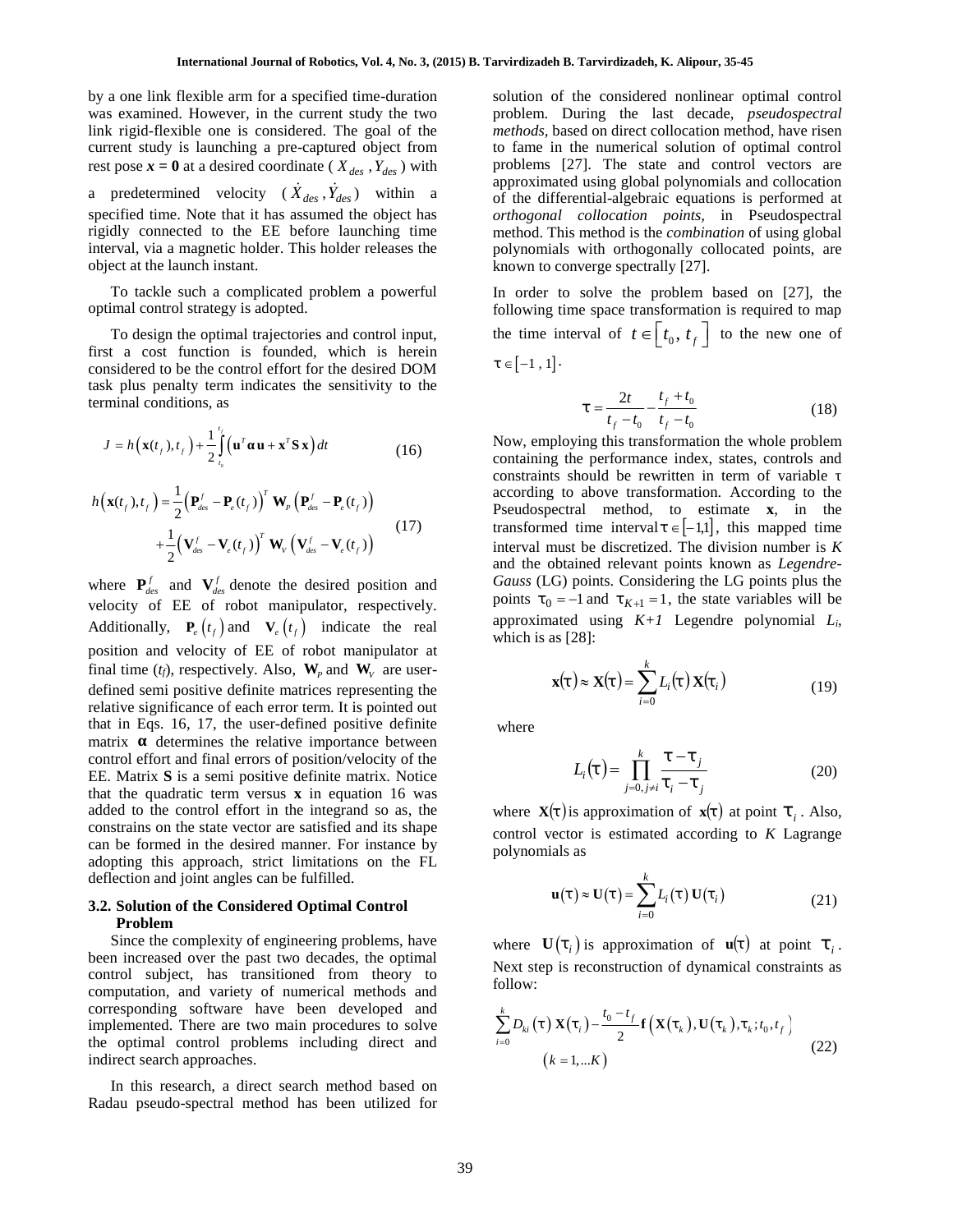by a one link flexible arm for a specified time-duration was examined. However, in the current study the two link rigid-flexible one is considered. The goal of the current study is launching a pre-captured object from rest pose  $\mathbf{x} = \mathbf{0}$  at a desired coordinate ( $X_{des}$ ,  $Y_{des}$ ) with a predetermined velocity ( $\dot{X}_{des}$ ,  $\dot{Y}_{des}$ ) within a specified time. Note that it has assumed the object has rigidly connected to the EE before launching time interval, via a magnetic holder. This holder releases the object at the launch instant. inned. However, in the<br>
inned. However, in the<br>
flexible one is consenting a p<br>  $\mathbf{r} = \mathbf{0}$  at a desired coorder<br>
ermined velocity<br>
time. Note that it has<br>
innected to the EE<br>
is a magnetic holder.<br>
he launch instant. **a** one link flexible arm for a specified time-duration<br>
so suxuined. However, in the current study the two problem. During the last decay<br>
it is *k* indi-flexible one is considered. The goal of the *methods*, based on di pose  $\mathbf{x} = \mathbf{0}$  at a desired coordinate ( $X_{des}$ ,  $Y_{des}$ ) with<br>oredetermined velocity ( $\dot{X}_{des}$ ,  $\dot{Y}_{des}$ ) within a approximate of the EE before launching time<br>tified time. Note that it has assumed the object has ort rest pose  $\mathbf{x} = \mathbf{0}$  at a desired coordinate ( $X_{des}$ ,  $Y_{des}$ ) with<br>
a precified time. Note that it has assumed the object has<br>
gigidly connected to the EE before launching time<br>
figidly connected to the EE before laun **x**  $\mathbf{x} = \mathbf{0}$  at a desired coordinate ( $X_{des}$ ,  $\hat{Y}_{des}$ ) with problems [27]. The predictermined velocity ( $\hat{X}_{des}$ ,  $\hat{Y}_{des}$ ) within a approximated using the expecter lance of the EF before lance including time or

To tackle such a complicated problem a powerful optimal control strategy is adopted.

To design the optimal trajectories and control input, first a cost function is founded, which is herein considered to be the control effort for the desired DOM task plus penalty term indicates the sensitivity to the terminal conditions, as find the complicated problem a power<br> *f* **g** *f f f f f f f f f f f f f f f f f f f f f f f f f f f f f* Fraction a control strategy is<br>the optimal<br>triangle is the optimal<br>to be the control is<br>endity term in<br>miditions, as<br> $f(t, t_f) + \frac{1}{2} \int_{t_0}^{t_f} (\mathbf{u}^T - \mathbf{P}) dt$ <br> $= \frac{1}{2} (\mathbf{P}_t^T - \mathbf{P}) dt$ and it has assumed the object has<br>the EE before launching time<br>the EE before launching time<br>thant.<br>omplicated problem a powerful<br>and trajectories and control input,<br>is founded, which is herein<br>ntrol effort for the desired optimal trajectories and control<br>tion is founded, which<br>the control effort for the desisterm<br>indicates the sensitivis,<br>s, as<br> $-\frac{1}{2}\int_{t_0}^{t_f} (\mathbf{u}^T \mathbf{u} + \mathbf{x}^T \mathbf{S} \mathbf{x}) dt$ <br> $\int_{cs}^{t_f} - \mathbf{P}_e(t_f) \int_{s}^{s} \mathbf{W}_p (\mathbf{P}_{$ *f* design the optimal trajectories and control inp<br>
a cost function is founded, which is here<br>
dered to be the control effort for the desired DO<br>
blus penalty term indicates the sensitivity to t<br>
al conditions, as<br>  $h(\mathbf$ 

$$
J = h\left(\mathbf{x}(t_f), t_f\right) + \frac{1}{2} \int_{t_0}^{t_f} \left(\mathbf{u}^T \ \mathbf{u} + \mathbf{x}^T \mathbf{S} \mathbf{x}\right) dt \qquad (16)
$$
 Now, emp  
containing

$$
h\left(\mathbf{x}(t_f), t_f\right) = \frac{1}{2} \left(\mathbf{P}_{des}^f - \mathbf{P}_e(t_f)\right)^T \mathbf{W}_p \left(\mathbf{P}_{des}^f - \mathbf{P}_e(t_f)\right) + \frac{1}{2} \left(\mathbf{V}_{des}^f - \mathbf{V}_e(t_f)\right)^T \mathbf{W}_V \left(\mathbf{V}_{des}^f - \mathbf{V}_e(t_f)\right)
$$
(17)

where  $P_{des}^f$  and  $V_{des}^f$  denote the desired position and velocity of EE of robot manipulator, respectively.  $J = h(\mathbf{x}(t_f), t_f) + \frac{1}{2} \int_{t_0}^{t} (\mathbf{u}^T \mathbf{u} + \mathbf{x}^T \mathbf{S} \mathbf{x}) dt$  (16) Now, 6<br>
contain<br>  $h(\mathbf{x}(t_f), t_f) = \frac{1}{2} (\mathbf{P}_{des}^f - \mathbf{P}_e(t_f))^T \mathbf{W}_p (\mathbf{P}_{des}^f - \mathbf{P}_e(t_f))$  accord<br>  $+ \frac{1}{2} (\mathbf{V}_{des}^f - \mathbf{V}_e(t_f))^T \mathbf{W}_v (\mathbf{V}_{des}^f$ position and velocity of EE of robot manipulator at final time  $(t_f)$ , respectively. Also,  $W_p$  and  $W_v$  are userdefined semi positive definite matrices representing the relative significance of each error term. It is pointed out that in Eqs. 16, 17, the user-defined positive definite matrix determines the relative importance between control effort and final errors of position/velocity of the EE. Matrix **S** is a semi positive definite matrix. Notice that the quadratic term versus **x** in equation 16 was added to the control effort in the integrand so as, the constrains on the state vector are satisfied and its shape can be formed in the desired manner. For instance by adopting this approach, strict limitations on the FL deflection and joint angles can be fulfilled.

## **3.2. Solution of the Considered Optimal Control Problem**

Since the complexity of engineering problems, have been increased over the past two decades, the optimal control subject, has transitioned from theory to computation, and variety of numerical methods and corresponding software have been developed and implemented. There are two main procedures to solve the optimal control problems including direct and indirect search approaches.

In this research, a direct search method based on Radau pseudo-spectral method has been utilized for solution of the considered nonlinear optimal control problem. During the last decade, *pseudospectral methods,* based on direct collocation method*,* have risen to fame in the numerical solution of optimal control problems [27]. The state and control vectors are approximated using global polynomials and collocation of the differential-algebraic equations is performed at *orthogonal collocation points,* in Pseudospectral method. This method is the *combination* of using global polynomials with orthogonally collocated points, are known to converge spectrally [27]. **f f t** *t f f f f f f f f f f f f f f f f f f f f f f f f f f f f f f f f f f* arvirdizadeh B. Tarvirdizadeh, K. Alipour, 35-45<br>
solution of the considered nonlinear optimal control<br>
problem. During the last decade, *pseudospectral*<br>
methods, based on direct collocation method, have risen<br>
to fame i e state and control vectors are<br>global polynomials and collocation<br>lgebraic equations is performed at<br>*tition points*, in Pseudospectral<br>d is the *combination* of using global<br>orthogonally collocated points, are<br>spectrall the state and control<br>*f* global polynomials and gebraic equations is j<br>ation points, in Ps<br>od is the *combination* of<br>orthogonally collocated<br>spectrally [27].<br>the problem based cover transformation is req<br>of  $t \in [t_0, t_f]$ *tadeh, K. Alipour, 35-45*<br>
idered nonlinear optimal control<br>
he last decade, *pseudospectral*<br>
erect collocation method, have risen<br>
prical solution of optimal control<br>
idebal polynomials and collocation<br>
gebraic equatio **rdizadeh, K. Alipour, 35-45**<br>
onsidered nonlinear optimal control<br>
the last decade, *pseudospectral*<br>
direct collocation method, have risen<br>
merical solution of optimal control<br>
The state and control vectors are<br>
g globa rvirdizadeh, K. Alipour, 35-45<br>
considered nonlinear optimal control<br>
org the last decade, *pseudospectral*<br>
on direct collocation method, have risen<br>
numerical solution of optimal control<br>
The state and control vectors a zadeh, K. Alipour, 35-45<br>
sidered nonlinear optimal control<br>
the last decade, *pseudospectral*<br>
rect collocation method, have rise<br>
errical solution of optimal control<br>
e state and control vectors are<br>
global polynomials

In order to solve the problem based on [27], the following time space transformation is required to map the time interval of  $t \in \begin{bmatrix} t_0, t_f \end{bmatrix}$  to the new one of  $\ddagger \in [-1, 1]$ .

$$
\ddagger = \frac{2t}{t_f - t_0} - \frac{t_f + t_0}{t_f - t_0} \tag{18}
$$

 $\left(\mathbf{x}(t_f), t_f\right) = \frac{1}{2}\left(\mathbf{P}_{des}^T - \mathbf{P}_e(t_f)\right)$  **W<sub>p</sub>**  $\left(\mathbf{P}_{des}^T - \mathbf{P}_e(t_f)\right)$  recover the proposectral method, to estimate **x**, in the  $(\mathbf{V}_{des}^t - \mathbf{V}_{e}(t_f)) \mathbf{W}_{V} (\mathbf{V}_{des}^t - \mathbf{V}_{e}(t_f))$  interval must be discretized. The division number is *K ly* is launching a pre-captured object from to fame in the numerial solution of optimal<br>  $t = 0$  at a desired coordinate ( $X_{dec}$ ,  $Y_{dec}$ ), with a problems [27]. The state and control<br>  $t = 0$  and  $t = 0$  and  $t = 0$  and  $t =$ mined velocity  $(\dot{X}_{des}, \dot{Y}_{des})$  within a supproximated using good porynominal sum<br>
me. Note that it has assumed the object has  $int_{\text{co}} \cos \theta$  or the differential-algebraic equations is poron-<br>
mected to the EE before launc Note that it has assumed the object has<br>
orthogonal collocation<br>
red to the EE before launching time<br>
method. This method is the orthogonal collocation<br>
method. This method is the orthogonal collocation<br>
uch a complicated Now, employing this transformation the whole problem containing the performance index, states, controls and constraints should be rewritten in term of variable according to above transformation. According to the transformed time interval  $\uparrow \in [-1,1]$ , this mapped time and the obtained relevant points known as *Legendre- Gauss* (LG) points. Considering the LG points plus the points  $\mathfrak{t}_0 = -1$  and  $\mathfrak{t}_{K+1} = 1$ , the state variables will be approximated using *K+1* Legendre polynomial *Li*, which is as [28]: *n* and must are the discretized. The division number is *K* tained relevant points known as *Legendre* -<br>  $-1$  and  $\frac{1}{k+1} = 1$ , the state variables will be<br>  $-1$  and  $\frac{1}{k+1} = 1$ , the state variables will be<br>  $\lfloor$ **u** unit be discretized. The division number is *K* botained relevant points known as *Legendre*-<br>
G) points. Considering the LG points plus the<br>  $= -1$  and  $t_{K+1} = 1$ , the state variables will be ated using  $K+1$  Legendr

$$
\mathbf{x}(t) \approx \mathbf{X}(t) = \sum_{i=0}^{k} L_i(t) \mathbf{X}(t_i)
$$
 (19)

where

$$
L_i(t) = \prod_{j=0, j \neq i}^{k} \frac{t - t_j}{t_i - t_j}
$$
 (20)

where  $\mathbf{X}(t)$  is approximation of  $\mathbf{x}(t)$  at point  $\ddagger$ , Also, control vector is estimated according to *K* Lagrange polynomials as  $\mathbf{I}_i(\mathbf{t}) \mathbf{X}(\mathbf{t}_i)$ <br>  $\mathbf{I}_i - \mathbf{I}_j$ <br>
in of  $\mathbf{x}(\mathbf{t})$  at point  $\mathbf{I}_i$ .<br>
i according to K Lagr<br>  $\mathbf{I}_i(\mathbf{t}) \mathbf{U}(\mathbf{t}_i)$ <br>
ation of  $\mathbf{u}(\mathbf{t})$  at point<br>
of dynamical constrain

$$
\mathbf{u}(\mathbf{t}) \approx \mathbf{U}(\mathbf{t}) = \sum_{i=0}^{k} L_i(\mathbf{t}) \mathbf{U}(\mathbf{t}_i)
$$
 (21)

where  $\mathbf{U}(\mathbf{t}_i)$  is approximation of  $\mathbf{u}(\mathbf{t})$  at point  $\mathbf{t}_i$ . Next step is reconstruction of dynamical constraints as follow:

$$
\mathbf{x}(t) \approx \mathbf{X}(t) = \sum_{i=0}^{k} L_{i}(t) \mathbf{X}(t_{i})
$$
(19)  
where  

$$
L_{i}(t) = \prod_{j=0, j\neq i}^{k} \frac{t - t_{j}}{t_{i} - t_{j}}
$$
(20)  
where  $\mathbf{X}(t)$  is approximation of  $\mathbf{x}(t)$  at point  $t_{i}$ . Also,  
control vector is estimated according to *K* Lagrange  
polynomials as  

$$
\mathbf{u}(t) \approx \mathbf{U}(t) = \sum_{i=0}^{k} L_{i}(t) \mathbf{U}(t_{i})
$$
(21)  
where  $\mathbf{U}(t_{i})$  is approximation of  $\mathbf{u}(t)$  at point  $t_{i}$ .  
Next step is reconstruction of dynamical constraints as  
follow:  

$$
\sum_{i=0}^{k} D_{ki}(t) \mathbf{X}(t_{i}) - \frac{t_{0} - t_{f}}{2} \mathbf{f}(\mathbf{X}(t_{k}), \mathbf{U}(t_{k}), t_{i}, t_{0}, t_{f})
$$
(22)  

$$
(k = 1,...K)
$$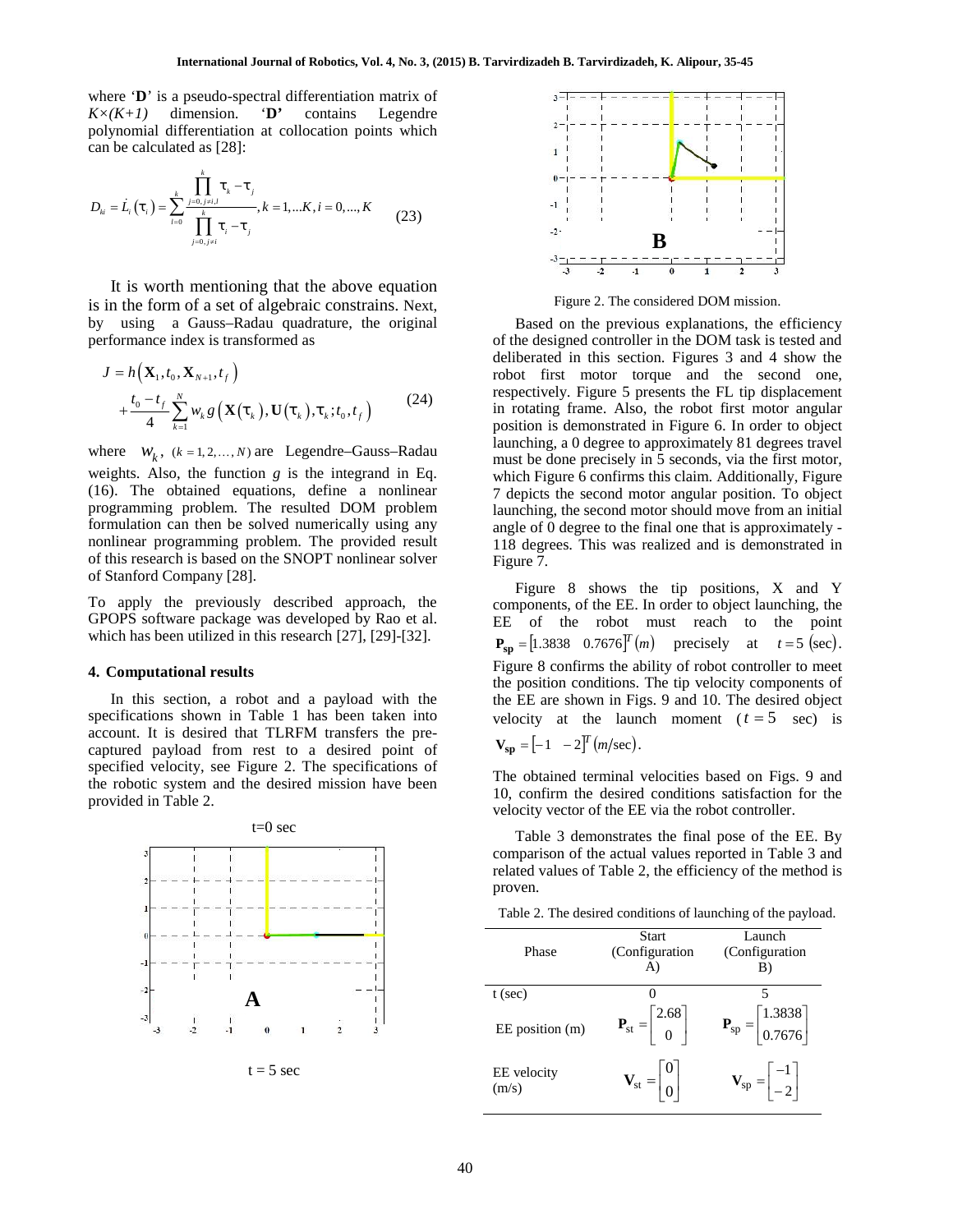where **'D**' is a pseudo-spectral differentiation matrix of  $K \times (K+1)$  dimension. **'D'** contains Legendre polynomial differentiation at collocation points which can be calculated as [28]:

 0, , 0 0, , 1,... , 0,..., *k k j k j j i l ki i i k l i j*  (23) 1 0 1 , , , *N f N t t*

It is worth mentioning that the above equation is in the form of a set of algebraic constrains. Next, by using a Gauss–Radau quadrature, the original performance index is transformed as **International Journal of Robotics, Vol. 4, No. 3, (2)**<br> **here D** is a pseudo-spectral differentiation matrix of<br>  $\left(\frac{K+I}{N}\right)$  dimension. **D** contains Legendre<br> **lynomial differentiation** at collocation points which<br> **International Journal of Robotics, Vol. 4, No. 3, (2015) B. Tarvirdizary<br>
in the sign of Spectral differentiation matrix of<br>
id differentiation at collocation points which<br>
id differentiation at collocation points which<br>** 

$$
J = h\left(\mathbf{X}_{1}, t_{0}, \mathbf{X}_{N+1}, t_{f}\right) + \frac{t_{0} - t_{f}}{4} \sum_{k=1}^{N} w_{k} g\left(\mathbf{X}(t_{k}), \mathbf{U}(t_{k}), t_{k}; t_{0}, t_{f}\right)
$$
(24)

International Journal of Robotics, Vol. 4, No. 3, (2015)<br>
i is a pseudo-spectral differentiation matrix of<br>
dimension. **D'** contains Legendre<br>
al differentiation at collocation points which<br>
lculated as [28]:<br>  $\int_{t=0}^{k}$ *w g t t*  can be calculated as  $[28]$ :<br>  $D_w = L_i(\mathbf{t}_i) = \sum_{i=0}^{k} \frac{1}{i} \mathbf{t}_i + \mathbf{t}_j$ ,<br>  $\sum_{i=0}^{k} \frac{1}{i} \mathbf{t}_i + \mathbf{t}_j$ ,<br>  $\sum_{i=0}^{k} \frac{1}{i} \mathbf{t}_i + \mathbf{t}_j$ ,<br>
It is worth mentioning that the above equation<br>
is in the form of weights. Also, the function *g* is the integrand in Eq. (16). The obtained equations, define a nonlinear programming problem. The resulted DOM problem formulation can then be solved numerically using any nonlinear programming problem. The provided result of this research is based on the SNOPT nonlinear solver of Stanford Company [28].

To apply the previously described approach, the GPOPS software package was developed by Rao et al. which has been utilized in this research [27], [29]-[32].

#### **4. Computational results**

In this section, a robot and a payload with the specifications shown in Table 1 has been taken into account. It is desired that TLRFM transfers the pre captured payload from rest to a desired point of specified velocity, see Figure 2. The specifications of the robotic system and the desired mission have been provided in Table 2.



 $t = 5$  sec



Figure 2. The considered DOM mission.

 $+\frac{t_0-t_f}{4}\sum w_k g(\mathbf{X}(\mathbf{t}_k),\mathbf{U}(\mathbf{t}_k),\mathbf{t}_k;t_0,t_f)$  (24) in rotating frame. Also, the robot first motor angular **onal Journal of Robotics, Vol. 4, No. 3, (2015) B. Tarvirdizadeh B. Tarvirdizadeh B. Tarvirdizadeh B. Tarvirdizadeh B. Tarvirdizadeh B. Tarvirdizadeh B. Tarvirdizadeh B. Tarvirdizadeh B. Tarvirdizadeh B. Tarvirdizadeh B.** Based on the previous explanations, the efficiency of the designed controller in the DOM task is tested and deliberated in this section. Figures 3 and 4 show the robot first motor torque and the second one, respectively. Figure 5 presents the FL tip displacement position is demonstrated in Figure 6. In order to object launching, a 0 degree to approximately 81 degrees travel must be done precisely in 5 seconds, via the first motor, which Figure 6 confirms this claim. Additionally, Figure 7 depicts the second motor angular position. To object launching, the second motor should move from an initial angle of 0 degree to the final one that is approximately - 118 degrees. This was realized and is demonstrated in Figure 7.

> Figure 8 shows the tip positions, X and Y components, of the EE. In order to object launching, the EE of the robot must reach to the point  $P_{\rm sp} = [1.3838 \quad 0.7676]^T(m)$  precisely at  $t = 5$  (sec). Figure 8 confirms the ability of robot controller to meet the position conditions. The tip velocity components of the EE are shown in Figs. 9 and 10. The desired object velocity at the launch moment  $(t = 5 \text{ sec})$  is

$$
\mathbf{V_{sp}} = \begin{bmatrix} -1 & -2 \end{bmatrix}^T \left( m/\text{sec} \right).
$$

The obtained terminal velocities based on Figs. 9 and 10, confirm the desired conditions satisfaction for the velocity vector of the EE via the robot controller.

Table 3 demonstrates the final pose of the EE. By comparison of the actual values reported in Table 3 and related values of Table 2, the efficiency of the method is proven.

Table 2. The desired conditions of launching of the payload.

| Phase                | <b>Start</b><br>(Configuration<br>A)                               | Launch<br>(Configuration<br>B)                                 |
|----------------------|--------------------------------------------------------------------|----------------------------------------------------------------|
| $t$ (sec)            | 0                                                                  | 5                                                              |
| EE position (m)      | $\mathbf{P}_{\text{st}} = \begin{bmatrix} 2.68 \\ 0 \end{bmatrix}$ | $\begin{bmatrix} 1.3838 \\ 0.7676 \end{bmatrix}$<br>$P_{sp} =$ |
| EE velocity<br>(m/s) | $V_{st} =$                                                         | $\mathbf{V}_{\rm sp} = \begin{bmatrix} -1 \\ -2 \end{bmatrix}$ |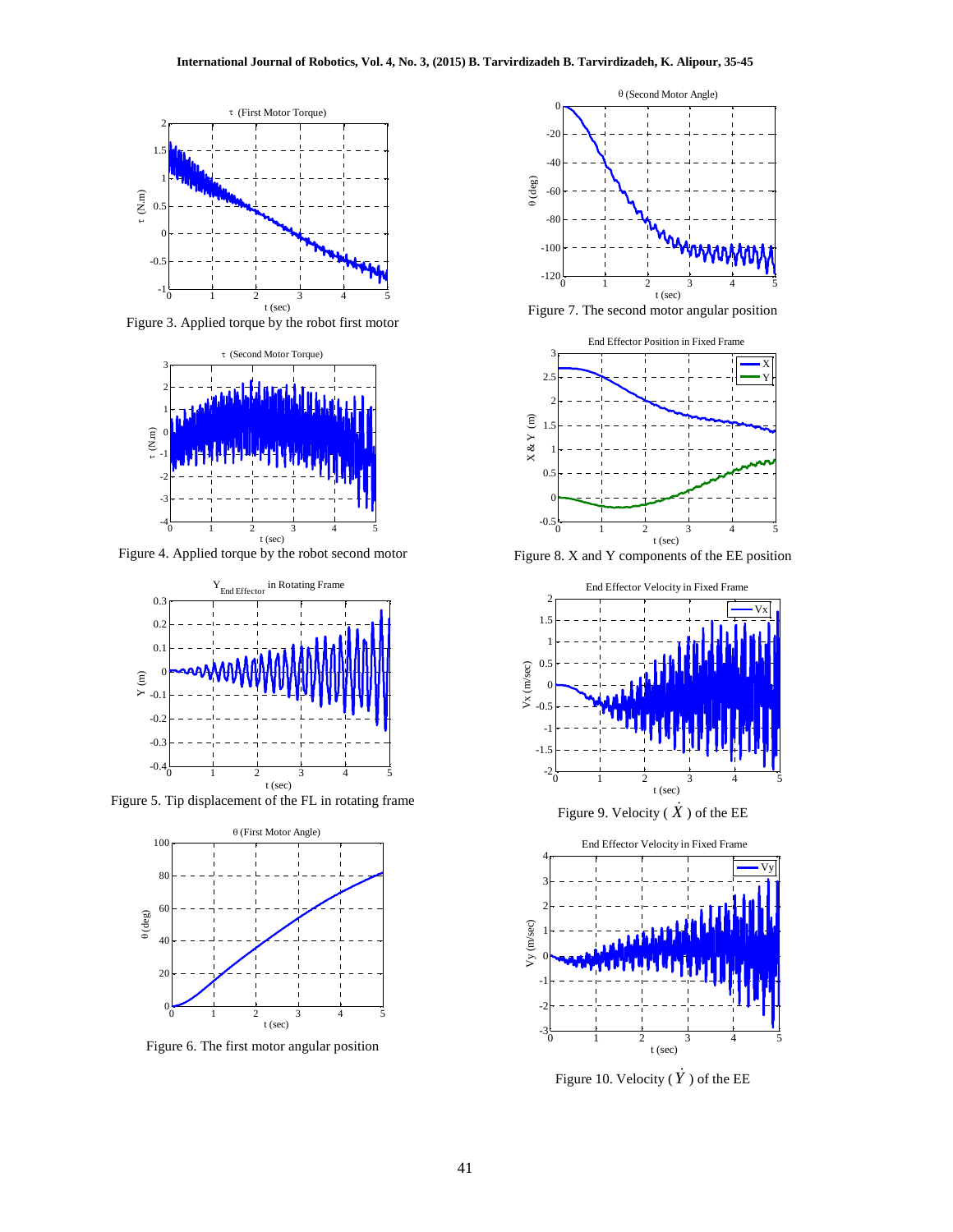

Figure 3. Applied torque by the robot first motor



Figure 4. Applied torque by the robot second motor



Figure 5. Tip displacement of the FL in rotating frame



Figure 6. The first motor angular position



Figure 7. The second motor angular position



Figure 8. X and Y components of the EE position



Figure 9. Velocity ( $\dot{X}$  ) of the EE



Figure 10. Velocity ( $\dot{Y}$ ) of the EE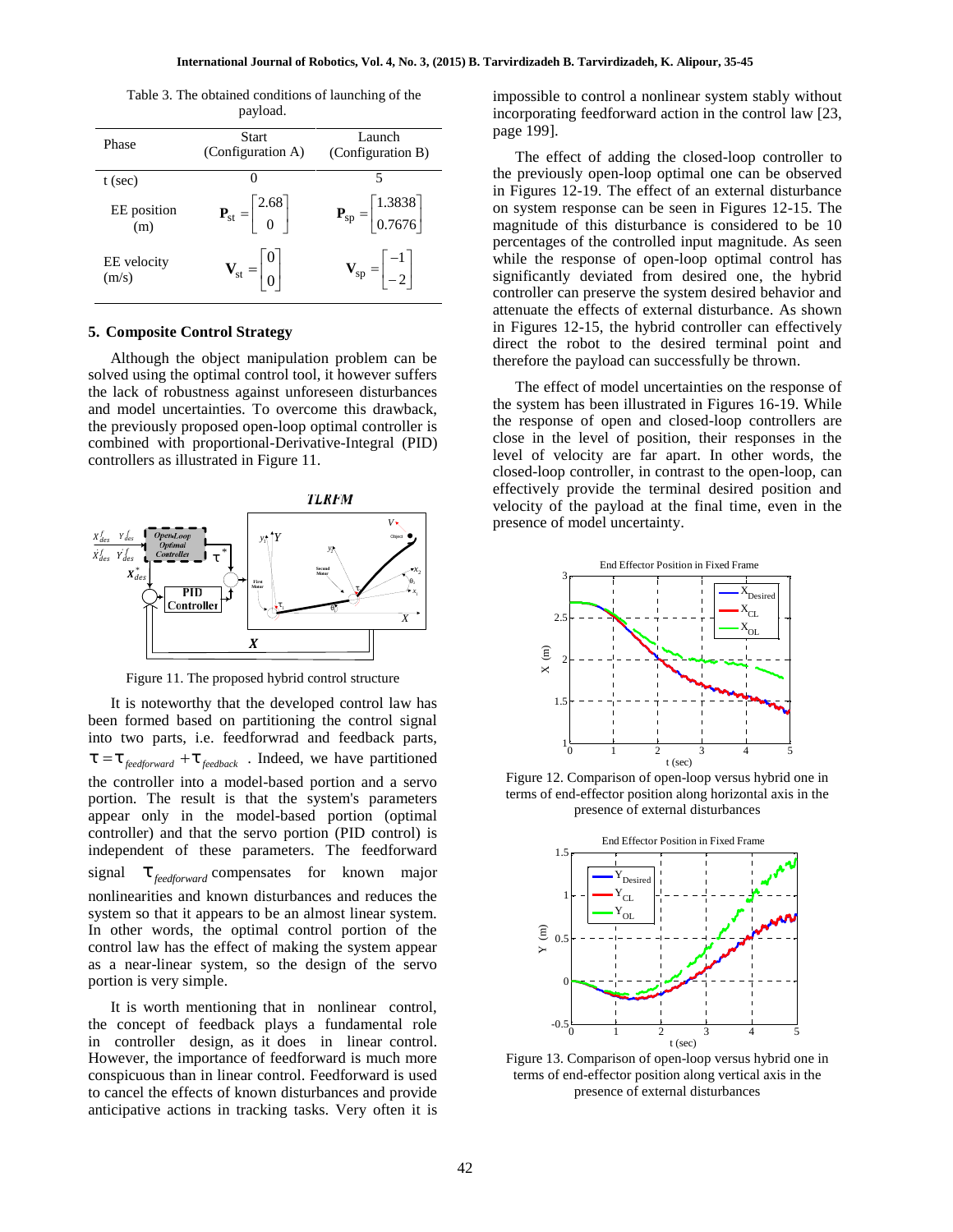Table 3. The obtained conditions of launching of the payload.

| Phase                | Start<br>(Configuration A)                                      | Launch<br>(Configuration B)                                        | page<br>Т                        |
|----------------------|-----------------------------------------------------------------|--------------------------------------------------------------------|----------------------------------|
| $t$ (sec)            |                                                                 | 5                                                                  | the p                            |
| EE position<br>(m)   | $\mathbf{P}_{\rm st} = \begin{bmatrix} 2.68 \\ 0 \end{bmatrix}$ | $\mathbf{P}_{sp} = \begin{bmatrix} 1.3838 \\ 0.7676 \end{bmatrix}$ | in Fi<br>on sy<br>magn           |
| EE velocity<br>(m/s) | $V_{st} = \begin{bmatrix} 0 \\ 0 \end{bmatrix}$                 | $\mathbf{V}_{\rm sp} = \begin{vmatrix} -1 \\ -2 \end{vmatrix}$     | perce<br>while<br>signi<br>contr |

#### **5. Composite Control Strategy**

Although the object manipulation problem can be solved using the optimal control tool, it however suffers the lack of robustness against unforeseen disturbances and model uncertainties. To overcome this drawback, the previously proposed open-loop optimal controller is combined with proportional-Derivative-Integral (PID) controllers as illustrated in Figure 11.



Figure 11. The proposed hybrid control structure

It is noteworthy that the developed control law has been formed based on partitioning the control signal into two parts, i.e. feedforwrad and feedback parts, the controller into a model-based portion and a servo portion. The result is that the system's parameters appear only in the model-based portion (optimal controller) and that the servo portion (PID control) is independent of these parameters. The feedforward signal  $\ddagger$ <sub>feedforward</sub> compensates for known major nonlinearities and known disturbances and reduces the system so that it appears to be an almost linear system. In other words, the optimal control portion of the control law has the effect of making the system appear as a near-linear system, so the design of the servo portion is very simple.

It is worth mentioning that in nonlinear control, the concept of feedback plays a fundamental role in controller design, as it does in linear control. However, the importance of feedforward is much more conspicuous than in linear control. Feedforward is used to cancel the effects of known disturbances and provide anticipative actions in tracking tasks. Very often it is impossible to control a nonlinear system stably without incorporating feedforward action in the control law [23, page 199].

 $\mathbf{P}_{\text{st}} = \begin{vmatrix} 2.68 \\ 0 \end{vmatrix}$   $\mathbf{P}_{\text{sp}} = \begin{vmatrix} 1.3838 \\ 0.7676 \end{vmatrix}$  on system response can be seen in Figures 12-15. The 0.7676 magnitude of this disturbance is considered to be 10  $V_{st} = \begin{bmatrix} 0 \\ 0 \end{bmatrix}$   $V_{sp} = \begin{bmatrix} -1 \\ -2 \end{bmatrix}$  while the response of open-loop optimal control has significantly deviated from desired one, the hybrid  $\lfloor -2 \rfloor$  significantly deviated from desired one, the hybrid controller can preserve the system desired behavior and 1 while the response of open-loop optimal control has The effect of adding the closed-loop controller to the previously open-loop optimal one can be observed in Figures 12-19. The effect of an external disturbance percentages of the controlled input magnitude. As seen attenuate the effects of external disturbance. As shown in Figures 12-15, the hybrid controller can effectively direct the robot to the desired terminal point and therefore the payload can successfully be thrown.

> $V_{\infty}$  **presence of model uncertainty.** The effect of model uncertainties on the response of the system has been illustrated in Figures 16-19. While the response of open and closed-loop controllers are close in the level of position, their responses in the level of velocity are far apart. In other words, the closed-loop controller, in contrast to the open-loop, can effectively provide the terminal desired position and velocity of the payload at the final time, even in the



Figure 12. Comparison of open-loop versus hybrid one in terms of end-effector position along horizontal axis in the presence of external disturbances



Figure 13. Comparison of open-loop versus hybrid one in terms of end-effector position along vertical axis in the presence of external disturbances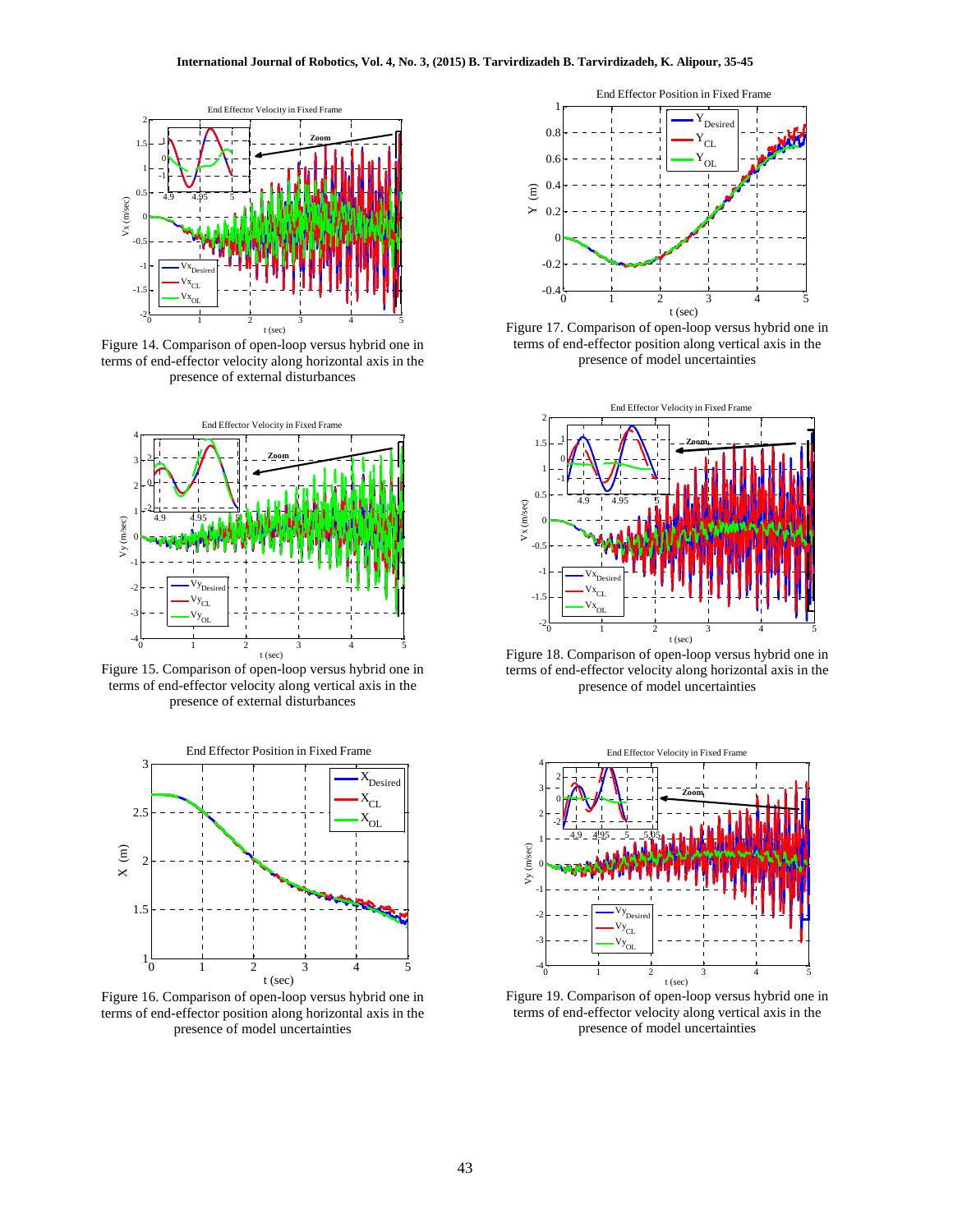

Figure 14. Comparison of open-loop versus hybrid one in terms of end-effector velocity along horizontal axis in the presence of external disturbances



Figure 15. Comparison of open-loop versus hybrid one in terms of end-effector velocity along vertical axis in the presence of external disturbances



Figure 16. Comparison of open-loop versus hybrid one in terms of end-effector position along horizontal axis in the presence of model uncertainties



Figure 17. Comparison of open-loop versus hybrid one in terms of end-effector position along vertical axis in the presence of model uncertainties



Figure 18. Comparison of open-loop versus hybrid one in terms of end-effector velocity along horizontal axis in the presence of model uncertainties



Figure 19. Comparison of open-loop versus hybrid one in terms of end-effector velocity along vertical axis in the presence of model uncertainties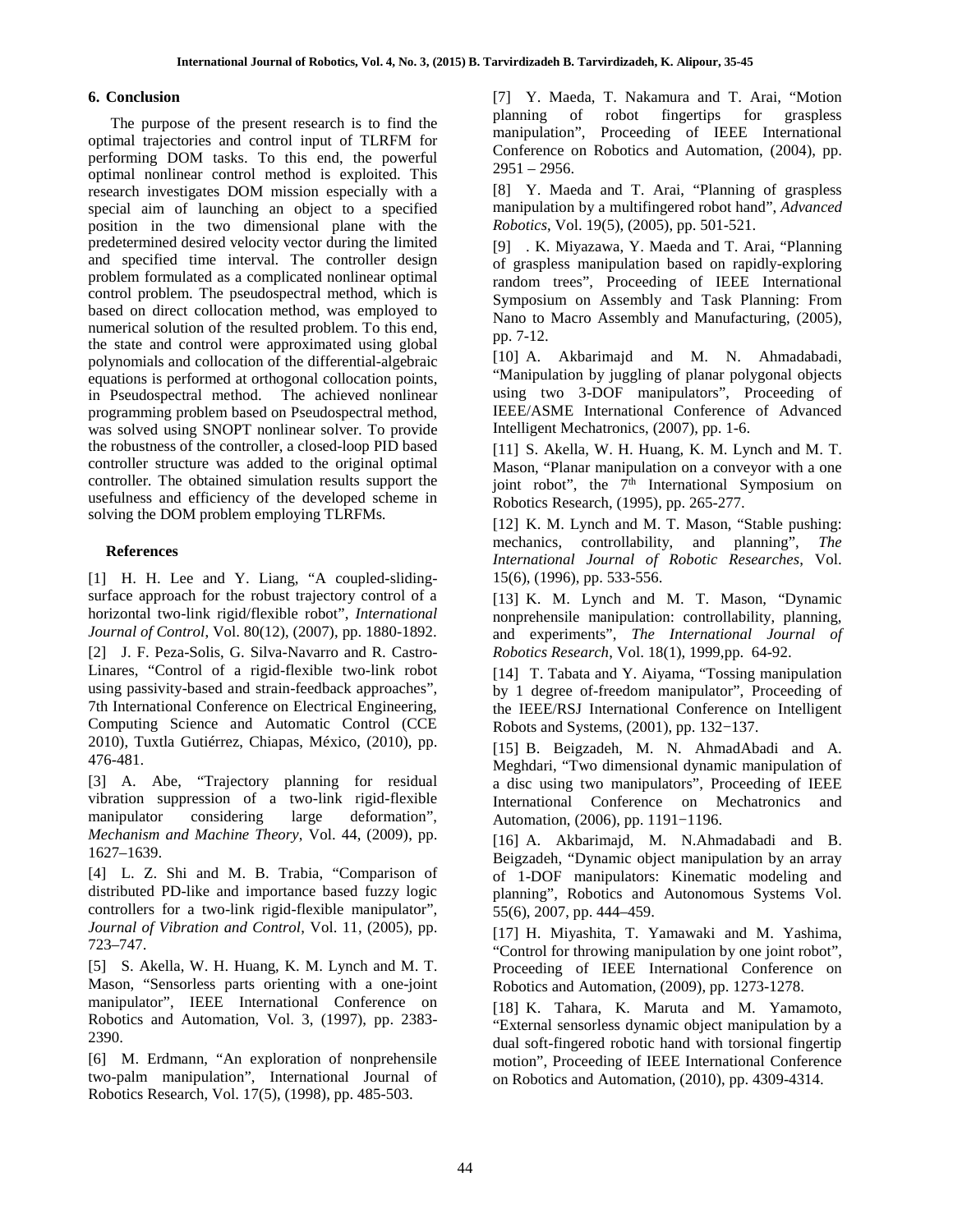# **6. Conclusion**

The purpose of the present research is to find the optimal trajectories and control input of TLRFM for performing DOM tasks. To this end, the powerful optimal nonlinear control method is exploited. This research investigates DOM mission especially with a special aim of launching an object to a specified position in the two dimensional plane with the predetermined desired velocity vector during the limited and specified time interval. The controller design problem formulated as a complicated nonlinear optimal control problem. The pseudospectral method, which is based on direct collocation method, was employed to numerical solution of the resulted problem. To this end, the state and control were approximated using global polynomials and collocation of the differential-algebraic equations is performed at orthogonal collocation points, in Pseudospectral method. The achieved nonlinear programming problem based on Pseudospectral method, was solved using SNOPT nonlinear solver. To provide the robustness of the controller, a closed-loop PID based controller structure was added to the original optimal controller. The obtained simulation results support the usefulness and efficiency of the developed scheme in solving the DOM problem employing TLRFMs.

## **References**

[1] H. H. Lee and Y. Liang, "A coupled-sliding surface approach for the robust trajectory control of a horizontal two-link rigid/flexible robot", *International Journal of Control*, Vol. 80(12), (2007), pp. 1880-1892. [2] J. F. Peza-Solis, G. Silva-Navarro and R. Castro- Linares, "Control of a rigid-flexible two-link robot using passivity-based and strain-feedback approaches", 7th International Conference on Electrical Engineering, Computing Science and Automatic Control (CCE 2010), Tuxtla Gutiérrez, Chiapas, México, (2010), pp. 476-481.

[3] A. Abe, "Trajectory planning for residual vibration suppression of a two-link rigid-flexible manipulator considering large deformation", *Mechanism and Machine Theory*, Vol. 44, (2009), pp. 1627–1639.

[4] L. Z. Shi and M. B. Trabia, "Comparison of distributed PD-like and importance based fuzzy logic controllers for a two-link rigid-flexible manipulator", *Journal of Vibration and Control*, Vol. 11, (2005), pp. 723–747.

[5] S. Akella, W. H. Huang, K. M. Lynch and M. T. Mason, "Sensorless parts orienting with a one-joint manipulator", IEEE International Conference on Robotics and Automation, Vol. 3, (1997), pp. 2383- 2390.

[6] M. Erdmann, "An exploration of nonprehensile two-palm manipulation", International Journal of Robotics Research, Vol. 17(5), (1998), pp. 485-503.

[7] Y. Maeda, T. Nakamura and T. Arai, "Motion planning of robot fingertips for graspless manipulation", Proceeding of IEEE International Conference on Robotics and Automation, (2004), pp. 2951 – 2956.

[8] Y. Maeda and T. Arai, "Planning of graspless manipulation by a multifingered robot hand", *Advanced Robotics*, Vol. 19(5), (2005), pp. 501-521.

[9] . K. Miyazawa, Y. Maeda and T. Arai, "Planning of graspless manipulation based on rapidly-exploring random trees", Proceeding of IEEE International Symposium on Assembly and Task Planning: From Nano to Macro Assembly and Manufacturing, (2005), pp. 7-12.

[10] A. Akbarimajd and M. N. Ahmadabadi, "Manipulation by juggling of planar polygonal objects using two 3-DOF manipulators", Proceeding of IEEE/ASME International Conference of Advanced Intelligent Mechatronics, (2007), pp. 1-6.

[11] S. Akella, W. H. Huang, K. M. Lynch and M. T. Mason, "Planar manipulation on a conveyor with a one joint robot", the  $7<sup>th</sup>$  International Symposium on Robotics Research, (1995), pp. 265-277.

[12] K. M. Lynch and M. T. Mason, "Stable pushing: mechanics, controllability, and planning", *The International Journal of Robotic Researches*, Vol. 15(6), (1996), pp. 533-556.

[13] K. M. Lynch and M. T. Mason, "Dynamic nonprehensile manipulation: controllability, planning, and experiments", *The International Journal of Robotics Research*, Vol. 18(1), 1999,pp. 64-92.

[14] T. Tabata and Y. Aiyama, "Tossing manipulation by 1 degree of-freedom manipulator", Proceeding of the IEEE/RSJ International Conference on Intelligent Robots and Systems, (2001), pp. 132−137.

[15] B. Beigzadeh, M. N. AhmadAbadi and A. Meghdari, "Two dimensional dynamic manipulation of a disc using two manipulators", Proceeding of IEEE International Conference on Mechatronics and Automation, (2006), pp. 1191−1196.

[16] A. Akbarimajd, M. N.Ahmadabadi and B. Beigzadeh, "Dynamic object manipulation by an array of 1-DOF manipulators: Kinematic modeling and planning", Robotics and Autonomous Systems Vol. 55(6), 2007, pp. 444–459.

[17] H. Miyashita, T. Yamawaki and M. Yashima, "Control for throwing manipulation by one joint robot", Proceeding of IEEE International Conference on Robotics and Automation, (2009), pp. 1273-1278.

[18] K. Tahara, K. Maruta and M. Yamamoto, "External sensorless dynamic object manipulation by a dual soft-fingered robotic hand with torsional fingertip motion", Proceeding of IEEE International Conference on Robotics and Automation, (2010), pp. 4309-4314.